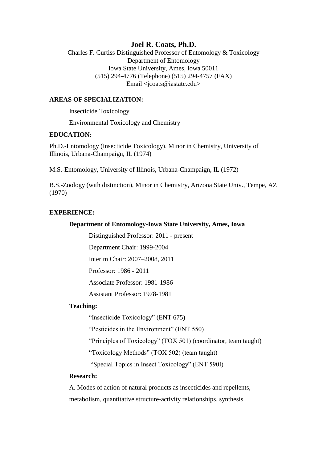# **Joel R. Coats, Ph.D.**

Charles F. Curtiss Distinguished Professor of Entomology & Toxicology Department of Entomology Iowa State University, Ames, Iowa 50011 (515) 294-4776 (Telephone) (515) 294-4757 (FAX) Email <jcoats@iastate.edu>

## **AREAS OF SPECIALIZATION:**

Insecticide Toxicology

Environmental Toxicology and Chemistry

### **EDUCATION:**

Ph.D.-Entomology (Insecticide Toxicology), Minor in Chemistry, University of Illinois, Urbana-Champaign, IL (1974)

M.S.-Entomology, University of Illinois, Urbana-Champaign, IL (1972)

B.S.-Zoology (with distinction), Minor in Chemistry, Arizona State Univ., Tempe, AZ (1970)

## **EXPERIENCE:**

### **Department of Entomology-Iowa State University, Ames, Iowa**

Distinguished Professor: 2011 - present

Department Chair: 1999-2004

Interim Chair: 2007–2008, 2011

Professor: 1986 - 2011

Associate Professor: 1981-1986

Assistant Professor: 1978-1981

### **Teaching:**

"Insecticide Toxicology" (ENT 675)

"Pesticides in the Environment" (ENT 550)

"Principles of Toxicology" (TOX 501) (coordinator, team taught)

"Toxicology Methods" (TOX 502) (team taught)

"Special Topics in Insect Toxicology" (ENT 590I)

## **Research:**

A. Modes of action of natural products as insecticides and repellents, metabolism, quantitative structure-activity relationships, synthesis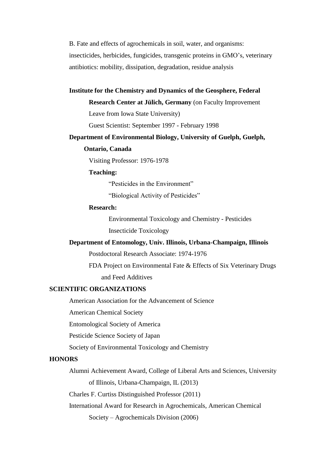B. Fate and effects of agrochemicals in soil, water, and organisms: insecticides, herbicides, fungicides, transgenic proteins in GMO's, veterinary antibiotics: mobility, dissipation, degradation, residue analysis

## **Institute for the Chemistry and Dynamics of the Geosphere, Federal**

**Research Center at Jülich, Germany** (on Faculty Improvement

Leave from Iowa State University)

Guest Scientist: September 1997 - February 1998

#### **Department of Environmental Biology, University of Guelph, Guelph,**

#### **Ontario, Canada**

Visiting Professor: 1976-1978

### **Teaching:**

"Pesticides in the Environment"

"Biological Activity of Pesticides"

### **Research:**

Environmental Toxicology and Chemistry - Pesticides

Insecticide Toxicology

### **Department of Entomology, Univ. Illinois, Urbana-Champaign, Illinois**

Postdoctoral Research Associate: 1974-1976

FDA Project on Environmental Fate & Effects of Six Veterinary Drugs and Feed Additives

### **SCIENTIFIC ORGANIZATIONS**

American Association for the Advancement of Science

American Chemical Society

Entomological Society of America

Pesticide Science Society of Japan

Society of Environmental Toxicology and Chemistry

# **HONORS**

Alumni Achievement Award, College of Liberal Arts and Sciences, University of Illinois, Urbana-Champaign, IL (2013)

Charles F. Curtiss Distinguished Professor (2011)

International Award for Research in Agrochemicals, American Chemical

Society – Agrochemicals Division (2006)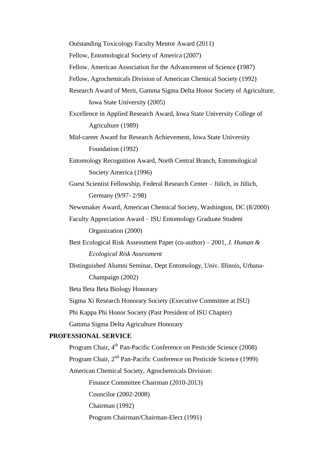Outstanding Toxicology Faculty Mentor Award (2011)

Fellow, Entomological Society of America (2007)

Fellow, American Association for the Advancement of Science **(**1987)

Fellow, Agrochemicals Division of American Chemical Society (1992)

Research Award of Merit, Gamma Sigma Delta Honor Society of Agriculture, Iowa State University (2005)

Excellence in Applied Research Award, Iowa State University College of Agriculture (1989)

Mid-career Award for Research Achievement, Iowa State University Foundation (1992)

Entomology Recognition Award, North Central Branch, Entomological Society America (1996)

Guest Scientist Fellowship, Federal Research Center – Jülich, in Jülich, Germany (9/97- 2/98)

Newsmaker Award, American Chemical Society, Washington, DC (8/2000)

Faculty Appreciation Award – ISU Entomology Graduate Student Organization (2000)

Best Ecological Risk Assessment Paper (co-author) – 2001, *J. Human & Ecological Risk Assessment*

Distinguished Alumni Seminar, Dept Entomology, Univ. Illinois, Urbana-Champaign (2002)

Beta Beta Beta Biology Honorary

Sigma Xi Research Honorary Society (Executive Committee at ISU)

Phi Kappa Phi Honor Society (Past President of ISU Chapter)

Gamma Sigma Delta Agriculture Honorary

# **PROFESSIONAL SERVICE**

Program Chair, 4<sup>th</sup> Pan-Pacific Conference on Pesticide Science (2008) Program Chair, 2<sup>nd</sup> Pan-Pacific Conference on Pesticide Science (1999) American Chemical Society, Agrochemicals Division: Finance Committee Chairman (2010-2013) Councilor (2002-2008) Chairman (1992) Program Chairman/Chairman-Elect (1991)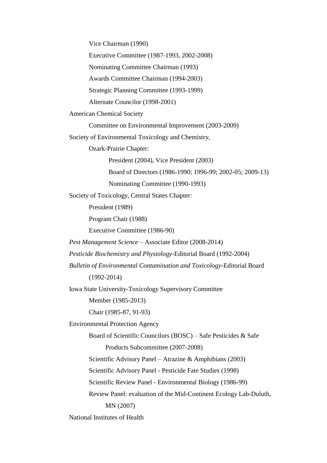Vice Chairman (1990)

Executive Committee (1987-1993, 2002-2008)

Nominating Committee Chairman (1993)

Awards Committee Chairman (1994-2003)

Strategic Planning Committee (1993-1999)

Alternate Councilor (1998-2001)

American Chemical Society

Committee on Environmental Improvement (2003-2009)

Society of Environmental Toxicology and Chemistry,

Ozark-Prairie Chapter:

President (2004), Vice President (2003)

Board of Directors (1986-1990; 1996-99; 2002-05; 2009-13)

Nominating Committee (1990-1993)

Society of Toxicology, Central States Chapter:

President (1989)

Program Chair (1988)

Executive Committee (1986-90)

*Pest Management Science* – Associate Editor (2008-2014)

*Pesticide Biochemistry and Physiology*-Editorial Board (1992-2004)

*Bulletin of Environmental Contamination and Toxicology*-Editorial Board

(1992-2014)

Iowa State University-Toxicology Supervisory Committee

Member (1985-2013)

Chair (1985-87, 91-93)

Environmental Protection Agency

Board of Scientific Councilors (BOSC) – Safe Pesticides & Safe

Products Subcommittee (2007-2008)

Scientific Advisory Panel – Atrazine & Amphibians (2003)

Scientific Advisory Panel - Pesticide Fate Studies (1998)

Scientific Review Panel - Environmental Biology (1986-99)

Review Panel: evaluation of the Mid-Continent Ecology Lab-Duluth,

MN (2007)

National Institutes of Health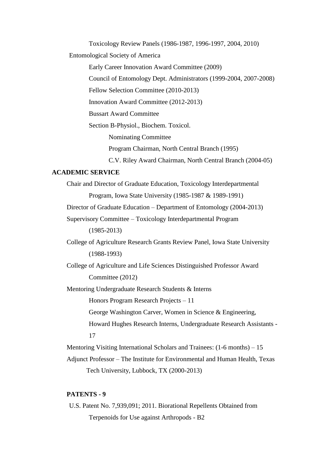Toxicology Review Panels (1986-1987, 1996-1997, 2004, 2010)

Entomological Society of America

Early Career Innovation Award Committee (2009)

Council of Entomology Dept. Administrators (1999-2004, 2007-2008)

Fellow Selection Committee (2010-2013)

Innovation Award Committee (2012-2013)

Bussart Award Committee

Section B-Physiol., Biochem. Toxicol.

Nominating Committee

Program Chairman, North Central Branch (1995)

C.V. Riley Award Chairman, North Central Branch (2004-05)

## **ACADEMIC SERVICE**

Chair and Director of Graduate Education, Toxicology Interdepartmental Program, Iowa State University (1985-1987 & 1989-1991) Director of Graduate Education – Department of Entomology (2004-2013) Supervisory Committee – Toxicology Interdepartmental Program (1985-2013) College of Agriculture Research Grants Review Panel, Iowa State University (1988-1993) College of Agriculture and Life Sciences Distinguished Professor Award Committee (2012) Mentoring Undergraduate Research Students & Interns Honors Program Research Projects – 11 George Washington Carver, Women in Science & Engineering, Howard Hughes Research Interns, Undergraduate Research Assistants - 17 Mentoring Visiting International Scholars and Trainees: (1-6 months) – 15 Adjunct Professor – The Institute for Environmental and Human Health, Texas

Tech University, Lubbock, TX (2000-2013)

## **PATENTS - 9**

U.S. Patent No. 7,939,091; 2011. Biorational Repellents Obtained from Terpenoids for Use against Arthropods - B2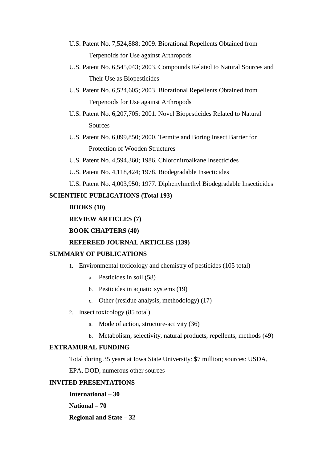- U.S. Patent No. 7,524,888; 2009. Biorational Repellents Obtained from Terpenoids for Use against Arthropods
- U.S. Patent No. 6,545,043; 2003. Compounds Related to Natural Sources and Their Use as Biopesticides
- U.S. Patent No. 6,524,605; 2003. Biorational Repellents Obtained from Terpenoids for Use against Arthropods
- U.S. Patent No. 6,207,705; 2001. Novel Biopesticides Related to Natural **Sources**
- U.S. Patent No. 6,099,850; 2000. Termite and Boring Insect Barrier for Protection of Wooden Structures
- U.S. Patent No. 4,594,360; 1986. Chloronitroalkane Insecticides
- U.S. Patent No. 4,118,424; 1978. Biodegradable Insecticides
- U.S. Patent No. 4,003,950; 1977. Diphenylmethyl Biodegradable Insecticides

## **SCIENTIFIC PUBLICATIONS (Total 193)**

# **BOOKS (10)**

### **REVIEW ARTICLES (7)**

## **BOOK CHAPTERS (40)**

## **REFEREED JOURNAL ARTICLES (139)**

### **SUMMARY OF PUBLICATIONS**

- 1. Environmental toxicology and chemistry of pesticides (105 total)
	- a. Pesticides in soil (58)
	- b. Pesticides in aquatic systems (19)
	- c. Other (residue analysis, methodology) (17)
- 2. Insect toxicology (85 total)
	- a. Mode of action, structure-activity (36)
	- b. Metabolism, selectivity, natural products, repellents, methods (49)

## **EXTRAMURAL FUNDING**

Total during 35 years at Iowa State University: \$7 million; sources: USDA,

EPA, DOD, numerous other sources

### **INVITED PRESENTATIONS**

**International – 30 National – 70 Regional and State – 32**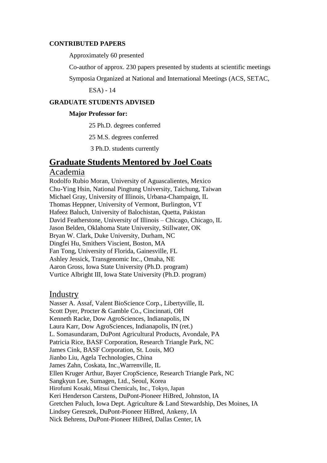## **CONTRIBUTED PAPERS**

Approximately 60 presented

Co-author of approx. 230 papers presented by students at scientific meetings

Symposia Organized at National and International Meetings (ACS, SETAC,

ESA) - 14

### **GRADUATE STUDENTS ADVISED**

### **Major Professor for:**

25 Ph.D. degrees conferred

25 M.S. degrees conferred

3 Ph.D. students currently

# **Graduate Students Mentored by Joel Coats**

# Academia

Rodolfo Rubio Moran, University of Aguascalientes, Mexico Chu-Ying Hsin, National Pingtung University, Taichung, Taiwan Michael Gray, University of Illinois, Urbana-Champaign, IL Thomas Heppner, University of Vermont, Burlington, VT Hafeez Baluch, University of Balochistan, Quetta, Pakistan David Featherstone, University of Illinois – Chicago, Chicago, IL Jason Belden, Oklahoma State University, Stillwater, OK Bryan W. Clark, Duke University, Durham, NC Dingfei Hu, Smithers Viscient, Boston, MA Fan Tong, University of Florida, Gainesville, FL Ashley Jessick, Transgenomic Inc., Omaha, NE Aaron Gross, Iowa State University (Ph.D. program) Vurtice Albright III, Iowa State University (Ph.D. program)

## Industry

Nasser A. Assaf, Valent BioScience Corp., Libertyville, IL Scott Dyer, Procter & Gamble Co., Cincinnati, OH Kenneth Racke, Dow AgroSciences, Indianapolis, IN Laura Karr, Dow AgroSciences, Indianapolis, IN (ret.) L. Somasundaram, DuPont Agricultural Products, Avondale, PA Patricia Rice, BASF Corporation, Research Triangle Park, NC James Cink, BASF Corporation, St. Louis, MO Jianbo Liu, Agela Technologies, China James Zahn, Coskata, Inc.,Warrenville, IL Ellen Kruger Arthur, Bayer CropScience, Research Triangle Park, NC Sangkyun Lee, Sumagen, Ltd., Seoul, Korea Hirofumi Kosaki, Mitsui Chemicals, Inc., Tokyo, Japan Keri Henderson Carstens, DuPont-Pioneer HiBred, Johnston, IA Gretchen Paluch, Iowa Dept. Agriculture & Land Stewardship, Des Moines, IA Lindsey Gereszek, DuPont-Pioneer HiBred, Ankeny, IA Nick Behrens, DuPont-Pioneer HiBred, Dallas Center, IA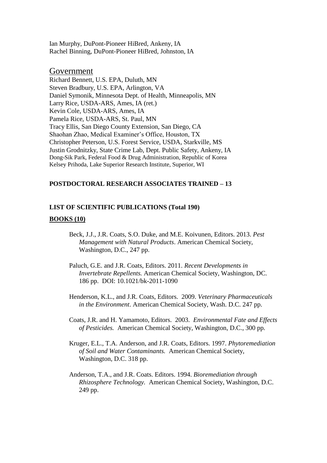Ian Murphy, DuPont-Pioneer HiBred, Ankeny, IA Rachel Binning, DuPont-Pioneer HiBred, Johnston, IA

## Government

Richard Bennett, U.S. EPA, Duluth, MN Steven Bradbury, U.S. EPA, Arlington, VA Daniel Symonik, Minnesota Dept. of Health, Minneapolis, MN Larry Rice, USDA-ARS, Ames, IA (ret.) Kevin Cole, USDA-ARS, Ames, IA Pamela Rice, USDA-ARS, St. Paul, MN Tracy Ellis, San Diego County Extension, San Diego, CA Shaohan Zhao, Medical Examiner's Office, Houston, TX Christopher Peterson, U.S. Forest Service, USDA, Starkville, MS Justin Grodnitzky, State Crime Lab, Dept. Public Safety, Ankeny, IA Dong-Sik Park, Federal Food & Drug Administration, Republic of Korea Kelsey Prihoda, Lake Superior Research Institute, Superior, WI

### **POSTDOCTORAL RESEARCH ASSOCIATES TRAINED – 13**

### **LIST OF SCIENTIFIC PUBLICATIONS (Total 190)**

#### **BOOKS (10)**

- Beck, J.J., J.R. Coats, S.O. Duke, and M.E. Koivunen, Editors. 2013. *Pest Management with Natural Products*. American Chemical Society, Washington, D.C., 247 pp.
- Paluch, G.E. and J.R. Coats, Editors. 2011. *Recent Developments in Invertebrate Repellents.* American Chemical Society, Washington, DC. 186 pp. DOI: 10.1021/bk-2011-1090
- Henderson, K.L., and J.R. Coats, Editors. 2009. *Veterinary Pharmaceuticals in the Environment*. American Chemical Society, Wash. D.C. 247 pp.
- Coats, J.R. and H. Yamamoto, Editors. 2003. *Environmental Fate and Effects of Pesticides.* American Chemical Society, Washington, D.C., 300 pp.
- Kruger, E.L., T.A. Anderson, and J.R. Coats, Editors. 1997. *Phytoremediation of Soil and Water Contaminants.* American Chemical Society, Washington, D.C. 318 pp.
- Anderson, T.A., and J.R. Coats. Editors. 1994. *Bioremediation through Rhizosphere Technology.* American Chemical Society, Washington, D.C. 249 pp.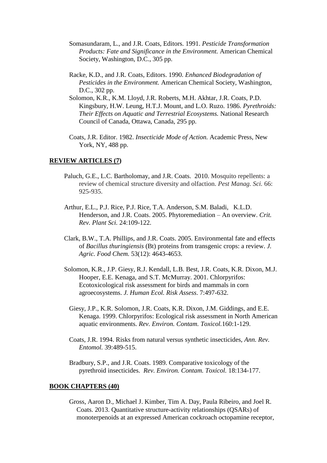- Somasundaram, L., and J.R. Coats, Editors. 1991. *Pesticide Transformation Products: Fate and Significance in the Environment.* American Chemical Society, Washington, D.C., 305 pp.
- Racke, K.D., and J.R. Coats, Editors. 1990. *Enhanced Biodegradation of Pesticides in the Environment.* American Chemical Society, Washington, D.C., 302 pp.
- Solomon, K.R., K.M. Lloyd, J.R. Roberts, M.H. Akhtar, J.R. Coats, P.D. Kingsbury, H.W. Leung, H.T.J. Mount, and L.O. Ruzo. 1986. *Pyrethroids: Their Effects on Aquatic and Terrestrial Ecosystems.* National Research Council of Canada, Ottawa, Canada, 295 pp.
- Coats, J.R. Editor. 1982. *Insecticide Mode of Action.* Academic Press, New York, NY, 488 pp.

### **REVIEW ARTICLES (7)**

- Paluch, G.E., L.C. Bartholomay, and J.R. Coats. 2010. Mosquito repellents: a review of chemical structure diversity and olfaction. *Pest Manag. Sci.* 66: 925-935.
- Arthur, E.L., P.J. Rice, P.J. Rice, T.A. Anderson, S.M. Baladi, K.L.D. Henderson, and J.R. Coats. 2005. Phytoremediation – An overview. *Crit. Rev. Plant Sci.* 24:109-122.
- Clark, B.W., T.A. Phillips, and J.R. Coats. 2005. Environmental fate and effects of *Bacillus thuringiensis* (Bt) proteins from transgenic crops: a review. *J. Agric. Food Chem.* 53(12): 4643-4653.
- Solomon, K.R., J.P. Giesy, R.J. Kendall, L.B. Best, J.R. Coats, K.R. Dixon, M.J. Hooper, E.E. Kenaga, and S.T. McMurray. 2001. Chlorpyrifos: Ecotoxicological risk assessment for birds and mammals in corn agroecosystems. *J. Human Ecol. Risk Assess*. 7:497-632.
	- Giesy, J.P., K.R. Solomon, J.R. Coats, K.R. Dixon, J.M. Giddings, and E.E. Kenaga. 1999. Chlorpyrifos: Ecological risk assessment in North American aquatic environments. *Rev. Environ. Contam. Toxicol.*160:1-129.
	- Coats, J.R. 1994. Risks from natural versus synthetic insecticides, *Ann. Rev. Entomol.* 39:489-515.
	- Bradbury, S.P., and J.R. Coats. 1989. Comparative toxicology of the pyrethroid insecticides. *Rev. Environ. Contam. Toxicol.* 18:134-177.

#### **BOOK CHAPTERS (40)**

Gross, Aaron D., Michael J. Kimber, Tim A. Day, Paula Ribeiro, and Joel R. Coats. 2013. Quantitative structure-activity relationships (QSARs) of monoterpenoids at an expressed American cockroach octopamine receptor,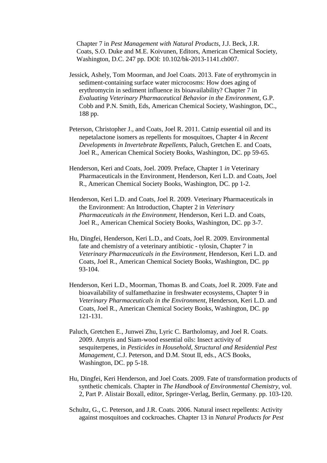Chapter 7 in *Pest Management with Natural Products*, J.J. Beck, J.R. Coats, S.O. Duke and M.E. Koivunen, Editors, American Chemical Society, Washington, D.C. 247 pp. DOI: 10.102/bk-2013-1141.ch007.

- Jessick, Ashely, Tom Moorman, and Joel Coats. 2013. Fate of erythromycin in sediment-containing surface water microcosms: How does aging of erythromycin in sediment influence its bioavailability? Chapter 7 in *Evaluating Veterinary Pharmaceutical Behavior in the Environment*, G.P. Cobb and P.N. Smith, Eds, American Chemical Society, Washington, DC., 188 pp.
- Peterson, Christopher J., and Coats, Joel R. 2011. Catnip essential oil and its nepetalactone isomers as repellents for mosquitoes, Chapter 4 in *Recent Developments in Invertebrate Repellents*, Paluch, Gretchen E. and Coats, Joel R., American Chemical Society Books, Washington, DC. pp 59-65.
- Henderson, Keri and Coats, Joel. 2009. Preface, Chapter 1 *in* Veterinary Pharmaceuticals in the Environment, Henderson, Keri L.D. and Coats, Joel R., American Chemical Society Books, Washington, DC. pp 1-2.
- Henderson, Keri L.D. and Coats, Joel R. 2009. Veterinary Pharmaceuticals in the Environment: An Introduction, Chapter 2 in *Veterinary Pharmaceuticals in the Environment*, Henderson, Keri L.D. and Coats, Joel R., American Chemical Society Books, Washington, DC. pp 3-7.
- Hu, Dingfei, Henderson, Keri L.D., and Coats, Joel R. 2009. Environmental fate and chemistry of a veterinary antibiotic - tylosin, Chapter 7 in *Veterinary Pharmaceuticals in the Environment,* Henderson, Keri L.D. and Coats, Joel R., American Chemical Society Books, Washington, DC. pp 93-104.
- Henderson, Keri L.D., Moorman, Thomas B. and Coats, Joel R. 2009. Fate and bioavailability of sulfamethazine in freshwater ecosystems, Chapter 9 in *Veterinary Pharmaceuticals in the Environment*, Henderson, Keri L.D. and Coats, Joel R., American Chemical Society Books, Washington, DC. pp 121-131.
- Paluch, Gretchen E., Junwei Zhu, Lyric C. Bartholomay, and Joel R. Coats. 2009. Amyris and Siam-wood essential oils: Insect activity of sesquiterpenes, in *Pesticides in Household, Structural and Residential Pest Management*, C.J. Peterson, and D.M. Stout II, eds., ACS Books, Washington, DC. pp 5-18.
- Hu, Dingfei, Keri Henderson, and Joel Coats. 2009. Fate of transformation products of synthetic chemicals. Chapter in *The Handbook of Environmental Chemistry*, vol. 2, Part P. Alistair Boxall, editor, Springer-Verlag, Berlin, Germany. pp. 103-120.
- Schultz, G., C. Peterson, and J.R. Coats. 2006. Natural insect repellents: Activity against mosquitoes and cockroaches. Chapter 13 in *Natural Products for Pest*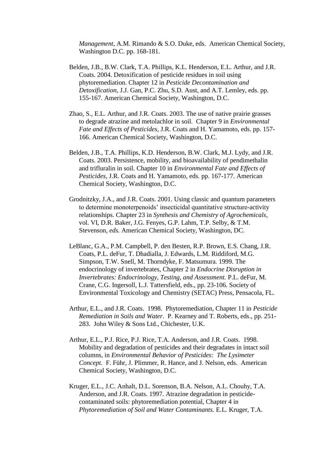*Management*, A.M. Rimando & S.O. Duke, eds. American Chemical Society, Washington D.C. pp. 168-181.

- Belden, J.B., B.W. Clark, T.A. Phillips, K.L. Henderson, E.L. Arthur, and J.R. Coats. 2004. Detoxification of pesticide residues in soil using phytoremediation. Chapter 12 in *Pesticide Decontamination and Detoxification*, J.J. Gan, P.C. Zhu, S.D. Aust, and A.T. Lemley, eds. pp. 155-167. American Chemical Society, Washington, D.C.
- Zhao, S., E.L. Arthur, and J.R. Coats. 2003. The use of native prairie grasses to degrade atrazine and metolachlor in soil. Chapter 9 in *Environmental Fate and Effects of Pesticides*, J.R. Coats and H. Yamamoto, eds. pp. 157- 166. American Chemical Society, Washington, D.C.
- Belden, J.B., T.A. Phillips, K.D. Henderson, B.W. Clark, M.J. Lydy, and J.R. Coats. 2003. Persistence, mobility, and bioavailability of pendimethalin and trifluralin in soil. Chapter 10 in *Environmental Fate and Effects of Pesticides*, J.R. Coats and H. Yamamoto, eds. pp. 167-177. American Chemical Society, Washington, D.C.
- Grodnitzky, J.A., and J.R. Coats. 2001. Using classic and quantum parameters to determine monoterpenoids' insecticidal quantitative structure-activity relationships. Chapter 23 in *Synthesis and Chemistry of Agrochemicals*, vol. VI, D.R. Baker, J.G. Fenyes, G.P. Lahm, T.P. Selby, & T.M. Stevenson, *eds.* American Chemical Society, Washington, DC.
- LeBlanc, G.A., P.M. Campbell, P. den Besten, R.P. Brown, E.S. Chang, J.R. Coats, P.L. deFur, T. Dhadialla, J. Edwards, L.M. Riddiford, M.G. Simpson, T.W. Snell, M. Thorndyke, F. Matsumura. 1999. The endocrinology of invertebrates, Chapter 2 in *Endocrine Disruption in Invertebrates: Endocrinology, Testing, and Assessment.* P.L. deFur, M. Crane, C.G. Ingersoll, L.J. Tattersfield, eds., pp. 23-106. Society of Environmental Toxicology and Chemistry (SETAC) Press, Pensacola, FL.
- Arthur, E.L., and J.R. Coats. 1998. Phytoremediation, Chapter 11 in *Pesticide Remediation in Soils and Water*. P. Kearney and T. Roberts, eds., pp. 251- 283. John Wiley & Sons Ltd., Chichester, U.K.
- Arthur, E.L., P.J. Rice, P.J. Rice, T.A. Anderson, and J.R. Coats. 1998. Mobility and degradation of pesticides and their degradates in intact soil columns, in *Environmental Behavior of Pesticides: The Lysimeter Concept.* F. Führ, J. Plimmer, R. Hance, and J. Nelson, eds. American Chemical Society, Washington, D.C.
- Kruger, E.L., J.C. Anhalt, D.L. Sorenson, B.A. Nelson, A.L. Chouhy, T.A. Anderson, and J.R. Coats. 1997. Atrazine degradation in pesticidecontaminated soils: phytoremediation potential, Chapter 4 in *Phytoremediation of Soil and Water Contaminants.* E.L. Kruger, T.A.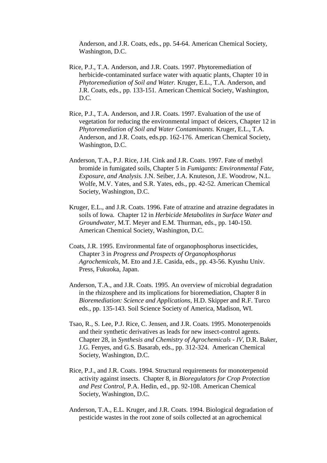Anderson, and J.R. Coats, eds., pp. 54-64. American Chemical Society, Washington, D.C.

- Rice, P.J., T.A. Anderson, and J.R. Coats. 1997. Phytoremediation of herbicide-contaminated surface water with aquatic plants, Chapter 10 in *Phytoremediation of Soil and Water.* Kruger, E.L., T.A. Anderson, and J.R. Coats, eds., pp. 133-151. American Chemical Society, Washington, D.C.
- Rice, P.J., T.A. Anderson, and J.R. Coats. 1997. Evaluation of the use of vegetation for reducing the environmental impact of deicers, Chapter 12 in *Phytoremediation of Soil and Water Contaminants.* Kruger, E.L., T.A. Anderson, and J.R. Coats, eds.pp. 162-176. American Chemical Society, Washington, D.C.
- Anderson, T.A., P.J. Rice, J.H. Cink and J.R. Coats. 1997. Fate of methyl bromide in fumigated soils, Chapter 5 in *Fumigants: Environmental Fate, Exposure, and Analysis.* J.N. Seiber, J.A. Knuteson, J.E. Woodrow, N.L. Wolfe, M.V. Yates, and S.R. Yates, eds., pp. 42-52. American Chemical Society, Washington, D.C.
- Kruger, E.L., and J.R. Coats. 1996. Fate of atrazine and atrazine degradates in soils of Iowa. Chapter 12 in *Herbicide Metabolites in Surface Water and Groundwater,* M.T. Meyer and E.M. Thurman, eds., pp. 140-150. American Chemical Society, Washington, D.C.
- Coats, J.R. 1995. Environmental fate of organophosphorus insecticides, Chapter 3 in *Progress and Prospects of Organophosphorus Agrochemicals,* M. Eto and J.E. Casida, eds., pp. 43-56. Kyushu Univ. Press, Fukuoka, Japan.
- Anderson, T.A., and J.R. Coats. 1995. An overview of microbial degradation in the rhizosphere and its implications for bioremediation, Chapter 8 in *Bioremediation: Science and Applications,* H.D. Skipper and R.F. Turco eds., pp. 135-143. Soil Science Society of America, Madison, WI.
- Tsao, R., S. Lee, P.J. Rice, C. Jensen, and J.R. Coats. 1995. Monoterpenoids and their synthetic derivatives as leads for new insect-control agents. Chapter 28, in *Synthesis and Chemistry of Agrochemicals - IV,* D.R. Baker, J.G. Fenyes, and G.S. Basarab, eds., pp. 312-324. American Chemical Society, Washington, D.C.
- Rice, P.J., and J.R. Coats. 1994. Structural requirements for monoterpenoid activity against insects. Chapter 8, in *Bioregulators for Crop Protection and Pest Control,* P.A. Hedin, ed., pp. 92-108. American Chemical Society, Washington, D.C.
- Anderson, T.A., E.L. Kruger, and J.R. Coats. 1994. Biological degradation of pesticide wastes in the root zone of soils collected at an agrochemical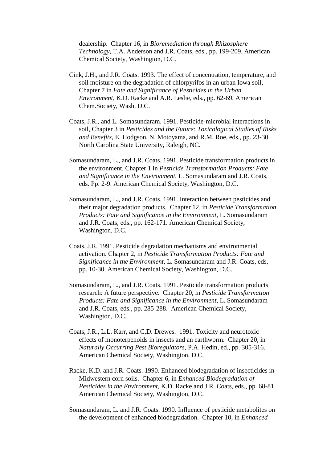dealership. Chapter 16, in *Bioremediation through Rhizosphere Technology,* T.A. Anderson and J.R. Coats, eds., pp. 199-209. American Chemical Society, Washington, D.C.

- Cink, J.H., and J.R. Coats. 1993. The effect of concentration, temperature, and soil moisture on the degradation of chlorpyrifos in an urban Iowa soil, Chapter 7 in *Fate and Significance of Pesticides in the Urban Environment,* K.D. Racke and A.R. Leslie, eds., pp. 62-69, American Chem.Society, Wash. D.C.
- Coats, J.R., and L. Somasundaram. 1991. Pesticide-microbial interactions in soil, Chapter 3 in *Pesticides and the Future: Toxicological Studies of Risks and Benefits*, E. Hodgson, N. Motoyama, and R.M. Roe, eds., pp. 23-30. North Carolina State University, Raleigh, NC.
- Somasundaram, L., and J.R. Coats. 1991. Pesticide transformation products in the environment. Chapter 1 in *Pesticide Transformation Products: Fate and Significance in the Environment.* L. Somasundaram and J.R. Coats, eds. Pp. 2-9. American Chemical Society, Washington, D.C.
- Somasundaram, L., and J.R. Coats. 1991. Interaction between pesticides and their major degradation products. Chapter 12, in *Pesticide Transformation Products: Fate and Significance in the Environment,* L. Somasundaram and J.R. Coats, eds., pp. 162-171. American Chemical Society, Washington, D.C.
- Coats, J.R. 1991. Pesticide degradation mechanisms and environmental activation. Chapter 2, in *Pesticide Transformation Products: Fate and Significance in the Environment,* L. Somasundaram and J.R. Coats, eds, pp. 10-30. American Chemical Society, Washington, D.C.
- Somasundaram, L., and J.R. Coats. 1991. Pesticide transformation products research: A future perspective. Chapter 20, in *Pesticide Transformation Products: Fate and Significance in the Environment,* L. Somasundaram and J.R. Coats, eds., pp. 285-288. American Chemical Society, Washington, D.C.
- Coats, J.R., L.L. Karr, and C.D. Drewes. 1991. Toxicity and neurotoxic effects of monoterpenoids in insects and an earthworm. Chapter 20, in *Naturally Occurring Pest Bioregulators*, P.A. Hedin, ed., pp. 305-316. American Chemical Society, Washington, D.C.
- Racke, K.D. and J.R. Coats. 1990. Enhanced biodegradation of insecticides in Midwestern corn soils. Chapter 6, in *Enhanced Biodegradation of Pesticides in the Environment,* K.D. Racke and J.R. Coats, eds., pp. 68-81. American Chemical Society, Washington, D.C.
- Somasundaram, L. and J.R. Coats. 1990. Influence of pesticide metabolites on the development of enhanced biodegradation. Chapter 10, in *Enhanced*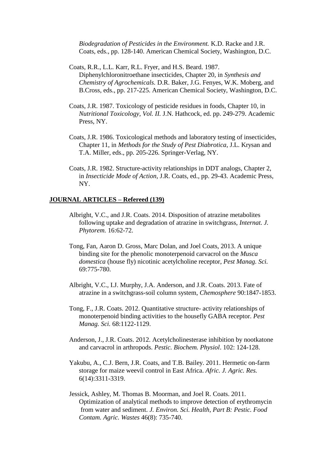*Biodegradation of Pesticides in the Environment.* K.D. Racke and J.R. Coats, eds., pp. 128-140. American Chemical Society, Washington, D.C.

- Coats, R.R., L.L. Karr, R.L. Fryer, and H.S. Beard. 1987. Diphenylchloronitroethane insecticides, Chapter 20, in *Synthesis and Chemistry of Agrochemicals.* D.R. Baker, J.G. Fenyes, W.K. Moberg, and B.Cross, eds., pp. 217-225. American Chemical Society, Washington, D.C.
- Coats, J.R. 1987. Toxicology of pesticide residues in foods, Chapter 10, in *Nutritional Toxicology, Vol. II.* J.N. Hathcock, ed. pp. 249-279. Academic Press, NY.
- Coats, J.R. 1986. Toxicological methods and laboratory testing of insecticides, Chapter 11, in *Methods for the Study of Pest Diabrotica*, J.L. Krysan and T.A. Miller, eds., pp. 205-226. Springer-Verlag, NY.
- Coats, J.R. 1982. Structure-activity relationships in DDT analogs, Chapter 2, in *Insecticide Mode of Action*, J.R. Coats, ed., pp. 29-43. Academic Press, NY.

### **JOURNAL ARTICLES – Refereed (139)**

- Albright, V.C., and J.R. Coats. 2014. Disposition of atrazine metabolites following uptake and degradation of atrazine in switchgrass, *Internat. J. Phytorem.* 16:62-72.
- Tong, Fan, Aaron D. Gross, Marc Dolan, and Joel Coats, 2013. A unique binding site for the phenolic monoterpenoid carvacrol on the *Musca domestica* (house fly) nicotinic acetylcholine receptor, *Pest Manag. Sci.* 69:775-780.
- Albright, V.C., I.J. Murphy, J.A. Anderson, and J.R. Coats. 2013. Fate of atrazine in a switchgrass-soil column system, *Chemosphere* 90:1847-1853.
- Tong, F., J.R. Coats. 2012. Quantitative structure- activity relationships of monoterpenoid binding activities to the housefly GABA receptor. *Pest Manag. Sci.* 68:1122-1129.
- Anderson, J., J.R. Coats. 2012. Acetylcholinesterase inhibition by nootkatone and carvacrol in arthropods. *Pestic. Biochem. Physiol*. 102: 124-128.
- Yakubu, A., C.J. Bern, J.R. Coats, and T.B. Bailey. 2011. Hermetic on-farm storage for maize weevil control in East Africa. *Afric. J. Agric. Res.* 6(14):3311-3319.
- Jessick, Ashley, M. Thomas B. Moorman, and Joel R. Coats. 2011. Optimization of analytical methods to improve detection of erythromycin from water and sediment. *J. Environ. Sci. Health, Part B: Pestic. Food Contam. Agric. Wastes* 46(8): 735-740.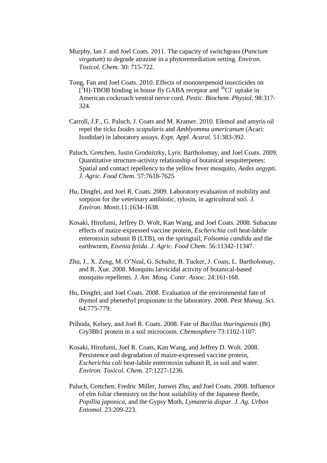- Murphy, Ian J. and Joel Coats. 2011. The capacity of switchgrass (*Pancium virgatum*) to degrade atrazine in a phytoremediation setting. *Environ. Toxicol. Chem.* 30: 715-722.
- Tong, Fan and Joel Coats. 2010. Effects of monoterpenoid insecticides on  $[$ <sup>3</sup>H]-TBOB binding in house fly GABA receptor and <sup>36</sup>Cl<sup>-</sup> uptake in American cockroach ventral nerve cord. *Pestic. Biochem. Physiol*. 98:317- 324.
- Carroll, J.F., G. Paluch, J. Coats and M. Kramer. 2010. Elemol and amyris oil repel the ticks *Ixodes scapularis* and *Amblyomma americanum* (Acari: Ixodidae) in laboratory assays. *Expt. Appl. Acarol.* 51:383-392.
- Paluch, Gretchen, Justin Grodnitzky, Lyric Bartholomay, and Joel Coats. 2009. Quantitative structure-activity relationship of botanical sesquiterpenes: Spatial and contact repellency to the yellow fever mosquito, *Aedes aegypti*. *J. Agric. Food Chem*. 57:7618-7625
- Hu, Dingfei, and Joel R. Coats. 2009. Laboratory evaluation of mobility and sorption for the veterinary antibiotic, tylosin, in agricultural soil. *J. Environ. Monit.*11:1634-1638.
- Kosaki, Hirofumi, Jeffrey D. Wolt, Kan Wang, and Joel Coats. 2008. Subacute effects of maize-expressed vaccine protein, *Escherichia coli* heat-labile enterotoxin subunit B (LTB), on the springtail, *Folsomia candida* and the earthworm, *Eisenia fetida*. *J. Agric. Food Chem*. 56:11342-11347.
- Zhu, J., X. Zeng, M. O'Neal, G. Schultz, B. Tucker, J. Coats, L. Bartholomay, and R. Xue. 2008. Mosquito larvicidal activity of botanical-based mosquito repellents. *J. Am. Mosq. Contr. Assoc.* 24:161-168.
- Hu, Dingfei, and Joel Coats. 2008. Evaluation of the environmental fate of thymol and phenethyl propionate in the laboratory. 2008. *Pest Manag. Sci.* 64:775-779.
- Prihoda, Kelsey, and Joel R. Coats. 2008. Fate of *Bacillus thuringiensis* (Bt) Cry3Bb1 protein in a soil microcosm. *Chemosphere* 73:1102-1107.
- Kosaki, Hirofumi, Joel R. Coats, Kan Wang, and Jeffrey D. Wolt. 2008. Persistence and degradation of maize-expressed vaccine protein, *Escherichia coli* heat-labile enterotoxin subunit B, in soil and water. *Environ. Toxicol. Chem.* 27:1227-1236.
- Paluch, Gretchen, Fredric Miller, Junwei Zhu, and Joel Coats. 2008. Influence of elm foliar chemistry on the host suitability of the Japanese Beetle, *Popillia japonica*, and the Gypsy Moth, *Lymantria dispar*. *J. Ag. Urban Entomol.* 23:209-223.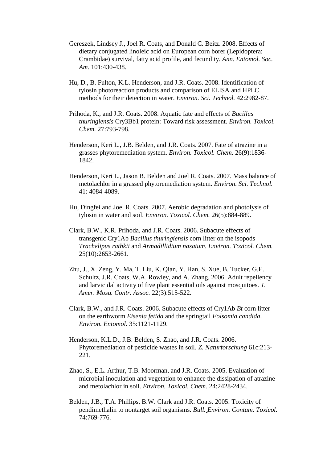- Gereszek, Lindsey J., Joel R. Coats, and Donald C. Beitz. 2008. Effects of dietary conjugated linoleic acid on European corn borer (Lepidoptera: Crambidae) survival, fatty acid profile, and fecundity. *Ann. Entomol. Soc. Am.* 101:430-438.
- Hu, D., B. Fulton, K.L. Henderson, and J.R. Coats. 2008. Identification of tylosin photoreaction products and comparison of ELISA and HPLC methods for their detection in water. *Environ. Sci. Technol.* 42:2982-87.
- Prihoda, K., and J.R. Coats. 2008. Aquatic fate and effects of *Bacillus thuringiensis* Cry3Bb1 protein: Toward risk assessment. *Environ. Toxicol. Chem.* 27:793-798.
- Henderson, Keri L., J.B. Belden, and J.R. Coats. 2007. Fate of atrazine in a grasses phytoremediation system. *Environ. Toxicol. Chem.* 26(9):1836- 1842.
- Henderson, Keri L., Jason B. Belden and Joel R. Coats. 2007. Mass balance of metolachlor in a grassed phytoremediation system. *Environ. Sci. Technol.* 41: 4084-4089.
- Hu, Dingfei and Joel R. Coats. 2007. Aerobic degradation and photolysis of tylosin in water and soil. *Environ. Toxicol. Chem.* 26(5):884-889.
- Clark, B.W., K.R. Prihoda, and J.R. Coats. 2006. Subacute effects of transgenic Cry1Ab *Bacillus thuringiensis* corn litter on the isopods *Trachelipus rathkii* and *Armadillidium nasatum. Environ. Toxicol. Chem.*  25(10):2653-2661.
- Zhu, J., X. Zeng, Y. Ma, T. Liu, K. Qian, Y. Han, S. Xue, B. Tucker, G.E. Schultz, J.R. Coats, W.A. Rowley, and A. Zhang. 2006. Adult repellency and larvicidal activity of five plant essential oils against mosquitoes. *J. Amer. Mosq. Contr. Assoc.* 22(3):515-522.
- Clark, B.W., and J.R. Coats. 2006. Subacute effects of Cry1Ab *Bt* corn litter on the earthworm *Eisenia fetida* and the springtail *Folsomia candida*. *Environ. Entomol.* 35:1121-1129.
- Henderson, K.L.D., J.B. Belden, S. Zhao, and J.R. Coats. 2006. Phytoremediation of pesticide wastes in soil. *Z. Naturforschung* 61c:213- 221.
- Zhao, S., E.L. Arthur, T.B. Moorman, and J.R. Coats. 2005. Evaluation of microbial inoculation and vegetation to enhance the dissipation of atrazine and metolachlor in soil. *Environ. Toxicol. Chem.* 24:2428-2434.
- Belden, J.B., T.A. Phillips, B.W. Clark and J.R. Coats. 2005. Toxicity of pendimethalin to nontarget soil organisms. *Bull. Environ. Contam. Toxicol.* 74:769-776.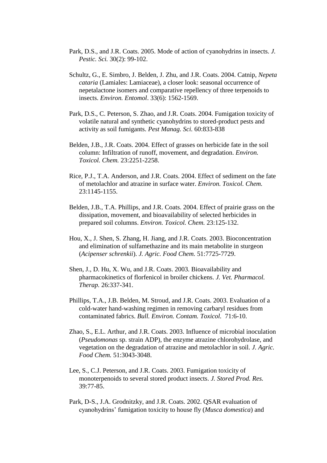- Park, D.S., and J.R. Coats. 2005. Mode of action of cyanohydrins in insects. *J. Pestic. Sci.* 30(2): 99-102.
- Schultz, G., E. Simbro, J. Belden, J. Zhu, and J.R. Coats. 2004. Catnip, *Nepeta cataria* (Lamiales: Lamiaceae), a closer look: seasonal occurrence of nepetalactone isomers and comparative repellency of three terpenoids to insects. *Environ. Entomol*. 33(6): 1562-1569.
- Park, D.S., C. Peterson, S. Zhao, and J.R. Coats. 2004. Fumigation toxicity of volatile natural and synthetic cyanohydrins to stored-product pests and activity as soil fumigants. *Pest Manag. Sci.* 60:833-838
- Belden, J.B., J.R. Coats. 2004. Effect of grasses on herbicide fate in the soil column: Infiltration of runoff, movement, and degradation. *Environ. Toxicol. Chem.* 23:2251-2258.
- Rice, P.J., T.A. Anderson, and J.R. Coats. 2004. Effect of sediment on the fate of metolachlor and atrazine in surface water. *Environ. Toxicol. Chem.* 23:1145-1155.
- Belden, J.B., T.A. Phillips, and J.R. Coats. 2004. Effect of prairie grass on the dissipation, movement, and bioavailability of selected herbicides in prepared soil columns. *Environ. Toxicol. Chem.* 23:125-132.
- Hou, X., J. Shen, S. Zhang, H. Jiang, and J.R. Coats. 2003. Bioconcentration and elimination of sulfamethazine and its main metabolite in sturgeon (*Acipenser schrenkii*). *J. Agric. Food Chem.* 51:7725-7729.
- Shen, J., D. Hu, X. Wu, and J.R. Coats. 2003. Bioavailability and pharmacokinetics of florfenicol in broiler chickens. *J. Vet. Pharmacol. Therap.* 26:337-341.
- Phillips, T.A., J.B. Belden, M. Stroud, and J.R. Coats. 2003. Evaluation of a cold-water hand-washing regimen in removing carbaryl residues from contaminated fabrics. *Bull. Environ. Contam. Toxicol.* 71:6-10.
- Zhao, S., E.L. Arthur, and J.R. Coats. 2003. Influence of microbial inoculation (*Pseudomonas* sp. strain ADP), the enzyme atrazine chlorohydrolase, and vegetation on the degradation of atrazine and metolachlor in soil. *J. Agric. Food Chem.* 51:3043-3048.
- Lee, S., C.J. Peterson, and J.R. Coats. 2003. Fumigation toxicity of monoterpenoids to several stored product insects. *J. Stored Prod. Res.*  39:77-85.
- Park, D-S., J.A. Grodnitzky, and J.R. Coats. 2002. QSAR evaluation of cyanohydrins' fumigation toxicity to house fly (*Musca domestica*) and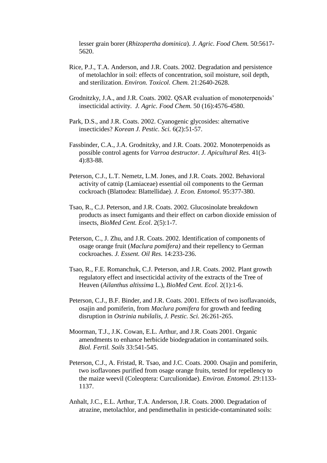lesser grain borer (*Rhizopertha dominica*). *J. Agric. Food Chem.* 50:5617- 5620.

- Rice, P.J., T.A. Anderson, and J.R. Coats. 2002. Degradation and persistence of metolachlor in soil: effects of concentration, soil moisture, soil depth, and sterilization. *Environ. Toxicol. Chem.* 21:2640-2628.
- Grodnitzky, J.A., and J.R. Coats. 2002. QSAR evaluation of monoterpenoids' insecticidal activity. *J. Agric. Food Chem.* 50 (16):4576-4580.
- Park, D.S., and J.R. Coats. 2002. Cyanogenic glycosides: alternative insecticides? *Korean J. Pestic. Sci.* 6(2):51-57.
- Fassbinder, C.A., J.A. Grodnitzky, and J.R. Coats. 2002. Monoterpenoids as possible control agents for *Varroa destructor*. *J. Apicultural Res.* 41(3- 4):83-88.
- Peterson, C.J., L.T. Nemetz, L.M. Jones, and J.R. Coats. 2002. Behavioral activity of catnip (Lamiaceae) essential oil components to the German cockroach (Blattodea: Blattellidae). *J. Econ. Entomol.* 95:377-380.
- Tsao, R., C.J. Peterson, and J.R. Coats. 2002. Glucosinolate breakdown products as insect fumigants and their effect on carbon dioxide emission of insects, *BioMed Cent. Ecol*. 2(5):1-7.
- Peterson, C., J. Zhu, and J.R. Coats. 2002. Identification of components of osage orange fruit (*Maclura pomifera)* and their repellency to German cockroaches. *J. Essent. Oil Res.* 14:233-236.
- Tsao, R., F.E. Romanchuk, C.J. Peterson, and J.R. Coats. 2002. Plant growth regulatory effect and insecticidal activity of the extracts of the Tree of Heaven (*Ailanthus altissima* L.), *BioMed Cent. Ecol.* 2(1):1-6.
- Peterson, C.J., B.F. Binder, and J.R. Coats. 2001. Effects of two isoflavanoids, osajin and pomiferin, from *Maclura pomifera* for growth and feeding disruption in *Ostrinia nubilalis*, *J. Pestic. Sci.* 26:261-265.
- Moorman, T.J., J.K. Cowan, E.L. Arthur, and J.R. Coats 2001. Organic amendments to enhance herbicide biodegradation in contaminated soils. *Biol. Fertil. Soils* 33:541-545.
- Peterson, C.J., A. Fristad, R. Tsao, and J.C. Coats. 2000. Osajin and pomiferin, two isoflavones purified from osage orange fruits, tested for repellency to the maize weevil (Coleoptera: Curculionidae). *Environ. Entomol.* 29:1133- 1137.
- Anhalt, J.C., E.L. Arthur, T.A. Anderson, J.R. Coats. 2000. Degradation of atrazine, metolachlor, and pendimethalin in pesticide-contaminated soils: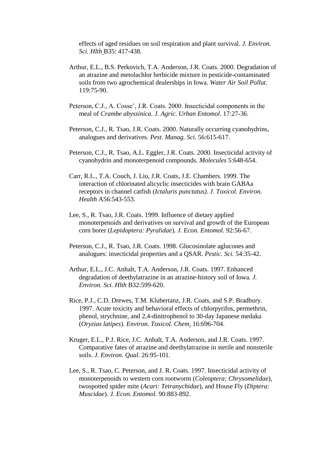effects of aged residues on soil respiration and plant survival. *J. Environ. Sci. Hlth* B35: 417-438.

- Arthur, E.L., B.S. Perkovich, T.A. Anderson, J.R. Coats. 2000. Degradation of an atrazine and metolachlor herbicide mixture in pesticide-contaminated soils from two agrochemical dealerships in Iowa. *Water Air Soil Pollut.* 119:75-90.
- Peterson, C.J., A. Cosse', J.R. Coats. 2000. Insecticidal components in the meal of *Crambe abyssinica*. *J. Agric. Urban Entomol.* 17:27-36.
- Peterson, C.J., R. Tsao, J.R. Coats. 2000. Naturally occurring cyanohydrins, analogues and derivatives. *Pest. Manag. Sci.* 56:615-617.
- Peterson, C.J., R. Tsao, A.L. Eggler, J.R. Coats. 2000. Insecticidal activity of cyanohydrin and monoterpenoid compounds. *Molecules* 5:648-654.
- Carr, R.L., T.A. Couch, J. Liu, J.R. Coats, J.E. Chambers. 1999. The interaction of chlorinated alicyclic insecticides with brain GABAa receptors in channel catfish (*Ictaluris punctatus)*. *J. Toxicol. Environ. Health* A56:543-553.
- Lee, S., R. Tsao, J.R. Coats. 1999. Influence of dietary applied monoterpenoids and derivatives on survival and growth of the European corn borer (*Lepidoptera: Pyralidae*). *J. Econ. Entomol.* 92:56-67.
- Peterson, C.J., R. Tsao, J.R. Coats. 1998. Glucosinolate aglucones and analogues: insecticidal properties and a QSAR. *Pestic. Sci.* 54:35-42.
- Arthur, E.L., J.C. Anhalt, T.A. Anderson, J.R. Coats. 1997. Enhanced degradation of deethylatrazine in an atrazine-history soil of Iowa. *J. Environ. Sci. Hlth* B32:599-620.
- Rice, P.J., C.D. Drewes, T.M. Klubertanz, J.R. Coats, and S.P. Bradbury. 1997. Acute toxicity and behavioral effects of chlorpyrifos, permethrin, phenol, strychnine, and 2,4-dinitrophenol to 30-day Japanese medaka (*Oryzias latipes*). *Environ. Toxicol. Chem*. 16:696-704.
- Kruger, E.L., P.J. Rice, J.C. Anhalt, T.A. Anderson, and J.R. Coats. 1997. Comparative fates of atrazine and deethylatrazine in sterile and nonsterile soils. *J. Environ. Qual.* 26:95-101.
- Lee, S., R. Tsao, C. Peterson, and J. R. Coats. 1997. Insecticidal activity of monoterpenoids to western corn rootworm (*Coleoptera: Chrysomelidae*), twospotted spider mite (*Acari: Tetranychidae*), and House Fly (*Diptera: Muscidae*). *J. Econ. Entomol.* 90:883-892.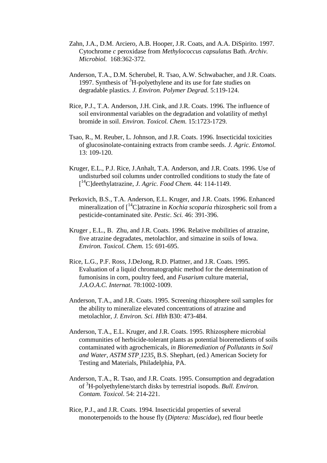- Zahn, J.A., D.M. Arciero, A.B. Hooper, J.R. Coats, and A.A. DiSpirito. 1997. Cytochrome *c* peroxidase from *Methylococcus capsulatus* Bath*. Archiv. Microbiol.* 168:362-372.
- Anderson, T.A., D.M. Scherubel, R. Tsao, A.W. Schwabacher, and J.R. Coats. 1997. Synthesis of  ${}^{3}H$ -polyethylene and its use for fate studies on degradable plastics. *J. Environ. Polymer Degrad.* 5:119-124.
- Rice, P.J., T.A. Anderson, J.H. Cink, and J.R. Coats. 1996. The influence of soil environmental variables on the degradation and volatility of methyl bromide in soil. *Environ. Toxicol. Chem.* 15:1723-1729.
- Tsao, R., M. Reuber, L. Johnson, and J.R. Coats. 1996. Insecticidal toxicities of glucosinolate-containing extracts from crambe seeds. *J. Agric. Entomol.* 13: 109-120.
- Kruger, E.L., P.J. Rice, J.Anhalt, T.A. Anderson, and J.R. Coats. 1996. Use of undisturbed soil columns under controlled conditions to study the fate of [ <sup>14</sup>C]deethylatrazine, *J. Agric. Food Chem.* 44: 114-1149.
- Perkovich, B.S., T.A. Anderson, E.L. Kruger, and J.R. Coats. 1996. Enhanced mineralization of [<sup>14</sup>C]atrazine in *Kochia scoparia* rhizospheric soil from a pesticide-contaminated site. *Pestic. Sci.* 46: 391-396.
- Kruger , E.L., B. Zhu, and J.R. Coats. 1996. Relative mobilities of atrazine, five atrazine degradates, metolachlor, and simazine in soils of Iowa. *Environ. Toxicol. Chem.* 15: 691-695.
- Rice, L.G., P.F. Ross, J.DeJong, R.D. Plattner, and J.R. Coats. 1995. Evaluation of a liquid chromatographic method for the determination of fumonisins in corn, poultry feed, and *Fusarium* culture material, *J.A.O.A.C. Internat.* 78:1002-1009.
- Anderson, T.A., and J.R. Coats. 1995. Screening rhizosphere soil samples for the ability to mineralize elevated concentrations of atrazine and metolachlor, *J. Environ. Sci. Hlth* B30: 473-484.
- Anderson, T.A., E.L. Kruger, and J.R. Coats. 1995. Rhizosphere microbial communities of herbicide-tolerant plants as potential bioremedients of soils contaminated with agrochemicals, *in Bioremediation of Pollutants in Soil and Water, ASTM STP 1235*, B.S. Shephart, (ed.) American Society for Testing and Materials, Philadelphia, PA.
- Anderson, T.A., R. Tsao, and J.R. Coats. 1995. Consumption and degradation of <sup>3</sup>H-polyethylene/starch disks by terrestrial isopods. *Bull. Environ. Contam. Toxicol*. 54: 214-221.
- Rice, P.J., and J.R. Coats. 1994. Insecticidal properties of several monoterpenoids to the house fly (*Diptera: Muscidae*), red flour beetle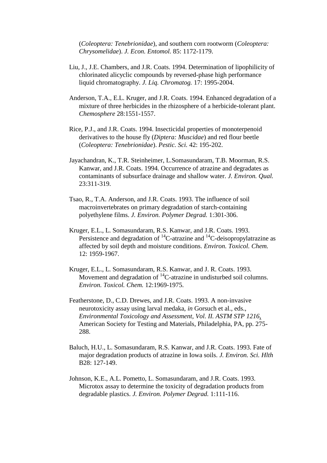(*Coleoptera: Tenebrionidae*), and southern corn rootworm (*Coleoptera: Chrysomelidae*). *J. Econ. Entomol.* 85: 1172-1179.

- Liu, J., J.E. Chambers, and J.R. Coats. 1994. Determination of lipophilicity of chlorinated alicyclic compounds by reversed-phase high performance liquid chromatography. *J. Liq. Chromatog.* 17: 1995-2004.
- Anderson, T.A., E.L. Kruger, and J.R. Coats. 1994. Enhanced degradation of a mixture of three herbicides in the rhizosphere of a herbicide-tolerant plant. *Chemosphere* 28:1551-1557.
- Rice, P.J., and J.R. Coats. 1994. Insecticidal properties of monoterpenoid derivatives to the house fly (*Diptera: Muscidae*) and red flour beetle (*Coleoptera: Tenebrionidae*). *Pestic. Sci.* 42: 195-202.
- Jayachandran, K., T.R. Steinheimer, L.Somasundaram, T.B. Moorman, R.S. Kanwar, and J.R. Coats. 1994. Occurrence of atrazine and degradates as contaminants of subsurface drainage and shallow water. *J. Environ. Qual.* 23:311-319.
- Tsao, R., T.A. Anderson, and J.R. Coats. 1993. The influence of soil macroinvertebrates on primary degradation of starch-containing polyethylene films. *J. Environ. Polymer Degrad.* 1:301-306.
- Kruger, E.L., L. Somasundaram, R.S. Kanwar, and J.R. Coats. 1993. Persistence and degradation of  ${}^{14}C$ -atrazine and  ${}^{14}C$ -deisopropylatrazine as affected by soil depth and moisture conditions. *Environ. Toxicol. Chem.* 12: 1959-1967.
- Kruger, E.L., L. Somasundaram, R.S. Kanwar, and J. R. Coats. 1993. Movement and degradation of  ${}^{14}$ C-atrazine in undisturbed soil columns. *Environ. Toxicol. Chem.* 12:1969-1975.
- Featherstone, D., C.D. Drewes, and J.R. Coats. 1993. A non-invasive neurotoxicity assay using larval medaka, *in* Gorsuch et al., eds., *Environmental Toxicology and Assessment, Vol. II. ASTM STP 1216*, American Society for Testing and Materials, Philadelphia, PA, pp. 275- 288.
- Baluch, H.U., L. Somasundaram, R.S. Kanwar, and J.R. Coats. 1993. Fate of major degradation products of atrazine in Iowa soils. *J. Environ. Sci. Hlth* B28: 127-149.
- Johnson, K.E., A.L. Pometto, L. Somasundaram, and J.R. Coats. 1993. Microtox assay to determine the toxicity of degradation products from degradable plastics. *J. Environ. Polymer Degrad.* 1:111-116.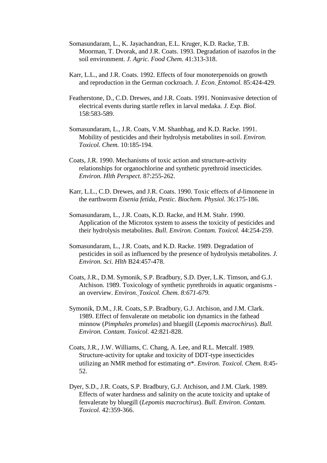- Somasundaram, L., K. Jayachandran, E.L. Kruger, K.D. Racke, T.B. Moorman, T. Dvorak, and J.R. Coats. 1993. Degradation of isazofos in the soil environment. *J. Agric. Food Chem.* 41:313-318.
- Karr, L.L., and J.R. Coats. 1992. Effects of four monoterpenoids on growth and reproduction in the German cockroach. *J. Econ. Entomol.* 85:424-429.
- Featherstone, D., C.D. Drewes, and J.R. Coats. 1991. Noninvasive detection of electrical events during startle reflex in larval medaka. *J. Exp. Biol.* 158:583-589.
- Somasundaram, L., J.R. Coats, V.M. Shanbhag, and K.D. Racke. 1991. Mobility of pesticides and their hydrolysis metabolites in soil. *Environ. Toxicol. Chem.* 10:185-194.
- Coats, J.R. 1990. Mechanisms of toxic action and structure-activity relationships for organochlorine and synthetic pyrethroid insecticides. *Environ. Hlth Perspect.* 87:255-262.
- Karr, L.L., C.D. Drewes, and J.R. Coats. 1990. Toxic effects of *d*-limonene in the earthworm *Eisenia fetida*, *Pestic. Biochem. Physiol.* 36:175-186.
- Somasundaram, L., J.R. Coats, K.D. Racke, and H.M. Stahr. 1990. Application of the Microtox system to assess the toxicity of pesticides and their hydrolysis metabolites. *Bull. Environ. Contam. Toxicol.* 44:254-259.
- Somasundaram, L., J.R. Coats, and K.D. Racke. 1989. Degradation of pesticides in soil as influenced by the presence of hydrolysis metabolites. *J. Environ. Sci. Hlth* B24:457-478.
- Coats, J.R., D.M. Symonik, S.P. Bradbury, S.D. Dyer, L.K. Timson, and G.J. Atchison. 1989. Toxicology of synthetic pyrethroids in aquatic organisms an overview. *Environ. Toxicol. Chem. 8:671-679.*
- Symonik, D.M., J.R. Coats, S.P. Bradbury, G.J. Atchison, and J.M. Clark. 1989. Effect of fenvalerate on metabolic ion dynamics in the fathead minnow (*Pimphales promelas*) and bluegill (*Lepomis macrochirus*). *Bull. Environ. Contam. Toxicol.* 42:821-828.
- Coats, J.R., J.W. Williams, C. Chang, A. Lee, and R.L. Metcalf. 1989. Structure-activity for uptake and toxicity of DDT-type insecticides utilizing an NMR method for estimating  $\sigma^*$ . *Environ. Toxicol. Chem.* 8:45-52.
- Dyer, S.D., J.R. Coats, S.P. Bradbury, G.J. Atchison, and J.M. Clark. 1989. Effects of water hardness and salinity on the acute toxicity and uptake of fenvalerate by bluegill (*Lepomis macrochirus*). *Bull. Environ. Contam. Toxicol.* 42:359-366.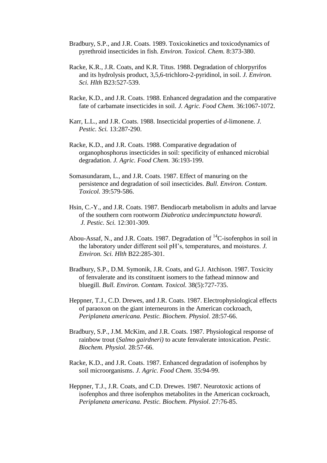- Bradbury, S.P., and J.R. Coats. 1989. Toxicokinetics and toxicodynamics of pyrethroid insecticides in fish. *Environ. Toxicol. Chem.* 8:373-380.
- Racke, K.R., J.R. Coats, and K.R. Titus. 1988. Degradation of chlorpyrifos and its hydrolysis product, 3,5,6-trichloro-2-pyridinol, in soil. *J. Environ. Sci. Hlth* B23:527-539.
- Racke, K.D., and J.R. Coats. 1988. Enhanced degradation and the comparative fate of carbamate insecticides in soil. *J. Agric. Food Chem.* 36:1067-1072.
- Karr, L.L., and J.R. Coats. 1988. Insecticidal properties of *d*-limonene. *J. Pestic. Sci.* 13:287-290.
- Racke, K.D., and J.R. Coats. 1988. Comparative degradation of organophosphorus insecticides in soil: specificity of enhanced microbial degradation. *J. Agric. Food Chem.* 36:193-199.
- Somasundaram, L., and J.R. Coats. 1987. Effect of manuring on the persistence and degradation of soil insecticides. *Bull. Environ. Contam. Toxicol.* 39:579-586.
- Hsin, C.-Y., and J.R. Coats. 1987. Bendiocarb metabolism in adults and larvae of the southern corn rootworm *Diabrotica undecimpunctata howardi. J. Pestic. Sci.* 12:301-309.
- Abou-Assaf, N., and J.R. Coats. 1987. Degradation of  ${}^{14}C$ -isofenphos in soil in the laboratory under different soil pH's, temperatures, and moistures. *J. Environ. Sci. Hlth* B22:285-301.
- Bradbury, S.P., D.M. Symonik, J.R. Coats, and G.J. Atchison. 1987. Toxicity of fenvalerate and its constituent isomers to the fathead minnow and bluegill. *Bull. Environ. Contam. Toxicol.* 38(5):727-735.
- Heppner, T.J., C.D. Drewes, and J.R. Coats. 1987. Electrophysiological effects of paraoxon on the giant interneurons in the American cockroach, *Periplaneta americana. Pestic. Biochem. Physiol.* 28:57-66.
- Bradbury, S.P., J.M. McKim, and J.R. Coats. 1987. Physiological response of rainbow trout (*Salmo gairdneri)* to acute fenvalerate intoxication. *Pestic. Biochem. Physiol.* 28:57-66.
- Racke, K.D., and J.R. Coats. 1987. Enhanced degradation of isofenphos by soil microorganisms. *J. Agric. Food Chem.* 35:94-99.
- Heppner, T.J., J.R. Coats, and C.D. Drewes. 1987. Neurotoxic actions of isofenphos and three isofenphos metabolites in the American cockroach, *Periplaneta americana. Pestic. Biochem. Physiol.* 27:76-85.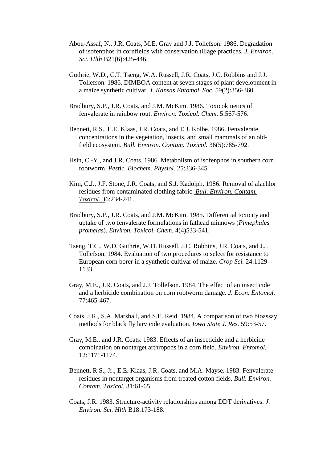- Abou-Assaf, N., J.R. Coats, M.E. Gray and J.J. Tollefson. 1986. Degradation of isofenphos in cornfields with conservation tillage practices. *J. Environ. Sci. Hlth* B21(6):425-446.
- Guthrie, W.D., C.T. Tseng, W.A. Russell, J.R. Coats, J.C. Robbins and J.J. Tollefson. 1986. DIMBOA content at seven stages of plant development in a maize synthetic cultivar. *J. Kansas Entomol. Soc.* 59(2):356-360.
- Bradbury, S.P., J.R. Coats, and J.M. McKim. 1986. Toxicokinetics of fenvalerate in rainbow rout. *Environ. Toxicol. Chem.* 5:567-576.
- Bennett, R.S., E.E. Klaas, J.R. Coats, and E.J. Kolbe. 1986. Fenvalerate concentrations in the vegetation, insects, and small mammals of an oldfield ecosystem. *Bull. Environ. Contam. Toxicol.* 36(5):785-792.
- Hsin, C.-Y., and J.R. Coats. 1986. Metabolism of isofenphos in southern corn rootworm. *Pestic. Biochem. Physiol.* 25:336-345.
- Kim, C.J., J.F. Stone, J.R. Coats, and S.J. Kadolph. 1986. Removal of alachlor residues from contaminated clothing fabric. *Bull. Environ. Contam. Toxicol. 3*6:234-241.
- Bradbury, S.P., J.R. Coats, and J.M. McKim. 1985. Differential toxicity and uptake of two fenvalerate formulations in fathead minnows (*Pimephales promelas*). *Environ. Toxicol. Chem.* 4(4)533-541.
- Tseng, T.C., W.D. Guthrie, W.D. Russell, J.C. Robbins, J.R. Coats, and J.J. Tollefson. 1984. Evaluation of two procedures to select for resistance to European corn borer in a synthetic cultivar of maize. *Crop Sci.* 24:1129- 1133.
- Gray, M.E., J.R. Coats, and J.J. Tollefson. 1984. The effect of an insecticide and a herbicide combination on corn rootworm damage. *J. Econ. Entomol.* 77:465-467.
- Coats, J.R., S.A. Marshall, and S.E. Reid. 1984. A comparison of two bioassay methods for black fly larvicide evaluation. *Iowa State J. Res.* 59:53-57.
- Gray, M.E., and J.R. Coats. 1983. Effects of an insecticide and a herbicide combination on nontarget arthropods in a corn field. *Environ. Entomol.* 12:1171-1174.
- Bennett, R.S., Jr., E.E. Klaas, J.R. Coats, and M.A. Mayse. 1983. Fenvalerate residues in nontarget organisms from treated cotton fields. *Bull. Environ. Contam. Toxicol.* 31:61-65.
- Coats, J.R. 1983. Structure-activity relationships among DDT derivatives. *J. Environ. Sci. Hlth* B18:173-188.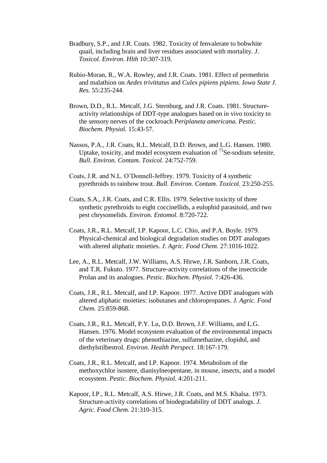- Bradbury, S.P., and J.R. Coats. 1982. Toxicity of fenvalerate to bobwhite quail, including brain and liver residues associated with mortality. *J. Toxicol. Environ. Hlth* 10:307-319.
- Rubio-Moran, R., W.A. Rowley, and J.R. Coats. 1981. Effect of permethrin and malathion on *Aedes trivittatus* and *Culex pipiens pipiens*. *Iowa State J. Res.* 55:235-244.
- Brown, D.D., R.L. Metcalf, J.G. Sternburg, and J.R. Coats. 1981. Structureactivity relationships of DDT-type analogues based on in vivo toxicity to the sensory nerves of the cockroach *Periplaneta americana. Pestic. Biochem. Physiol.* 15:43-57.
- Nassos, P.A., J.R. Coats, R.L. Metcalf, D.D. Brown, and L.G. Hansen. 1980. Uptake, toxicity, and model ecosystem evaluation of  $^{75}$ Se-sodium selenite. *Bull. Environ. Contam. Toxicol.* 24:752-759.
- Coats, J.R. and N.L. O'Donnell-Jeffrey. 1979. Toxicity of 4 synthetic pyrethroids to rainbow trout. *Bull. Environ. Contam. Toxicol.* 23:250-255.
- Coats, S.A., J.R. Coats, and C.R. Ellis. 1979. Selective toxicity of three synthetic pyrethroids to eight coccinellids, a eulophid parasitoid, and two pest chrysomelids. *Environ. Entomol.* 8:720-722.
- Coats, J.R., R.L. Metcalf, I.P. Kapoor, L.C. Chio, and P.A. Boyle. 1979. Physical-chemical and biological degradation studies on DDT analogues with altered aliphatic moieties. *J. Agric. Food Chem.* 27:1016-1022.
- Lee, A., R.L. Metcalf, J.W. Williams, A.S. Hirwe, J.R. Sanborn, J.R. Coats, and T.R. Fukuto. 1977. Structure-activity correlations of the insecticide Prolan and its analogues. *Pestic. Biochem. Physiol.* 7:426-436.
- Coats, J.R., R.L. Metcalf, and I.P. Kapoor. 1977. Active DDT analogues with altered aliphatic moieties: isobutanes and chloropropanes. *J. Agric. Food Chem.* 25:859-868.
- Coats, J.R., R.L. Metcalf, P.Y. Lu, D.D. Brown, J.F. Williams, and L.G. Hansen. 1976. Model ecosystem evaluation of the environmental impacts of the veterinary drugs: phenothiazine, sulfamethazine, clopidol, and diethylstilbestrol. *Environ. Health Perspect.* 18:167-179.
- Coats, J.R., R.L. Metcalf, and I.P. Kapoor. 1974. Metabolism of the methoxychlor isostere, dianisylneopentane, in mouse, insects, and a model ecosystem. *Pestic. Biochem. Physiol.* 4:201-211.
- Kapoor, I.P., R.L. Metcalf, A.S. Hirwe, J.R. Coats, and M.S. Khalsa. 1973. Structure-activity correlations of biodegradability of DDT analogs. *J. Agric. Food Chem.* 21:310-315.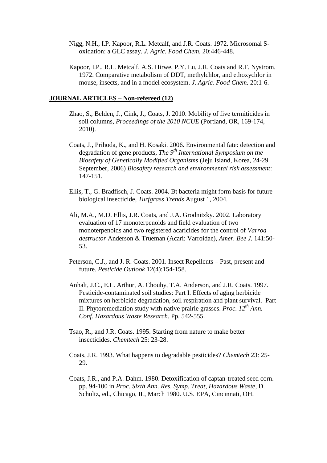- Nigg, N.H., I.P. Kapoor, R.L. Metcalf, and J.R. Coats. 1972. Microsomal Soxidation: a GLC assay. *J. Agric. Food Chem.* 20:446-448.
- Kapoor, I.P., R.L. Metcalf, A.S. Hirwe, P.Y. Lu, J.R. Coats and R.F. Nystrom. 1972. Comparative metabolism of DDT, methylchlor, and ethoxychlor in mouse, insects, and in a model ecosystem. *J. Agric. Food Chem.* 20:1-6.

### **JOURNAL ARTICLES – Non-refereed (12)**

- Zhao, S., Belden, J., Cink, J., Coats, J. 2010. Mobility of five termiticides in soil columns, *Proceedings of the 2010 NCUE* (Portland, OR, 169-174, 2010).
- Coats, J., Prihoda, K., and H. Kosaki. 2006. Environmental fate: detection and degradation of gene products, *The 9th International Symposium on the Biosafety of Genetically Modified Organisms* (Jeju Island, Korea, 24-29 September, 2006) *Biosafety research and environmental risk assessment*: 147-151.
- Ellis, T., G. Bradfisch, J. Coats. 2004. Bt bacteria might form basis for future biological insecticide, *Turfgrass Trends* August 1, 2004.
- Ali, M.A., M.D. Ellis, J.R. Coats, and J.A. Grodnitzky. 2002. Laboratory evaluation of 17 monoterpenoids and field evaluation of two monoterpenoids and two registered acaricides for the control of *Varroa destructor* Anderson & Trueman (Acari: Varroidae), *Amer. Bee J.* 141:50- 53.
- Peterson, C.J., and J. R. Coats. 2001. Insect Repellents Past, present and future. *Pesticide Outlook* 12(4):154-158.
- Anhalt, J.C., E.L. Arthur, A. Chouhy, T.A. Anderson, and J.R. Coats. 1997. Pesticide-contaminated soil studies: Part I. Effects of aging herbicide mixtures on herbicide degradation, soil respiration and plant survival. Part II. Phytoremediation study with native prairie grasses. *Proc. 12th Ann. Conf. Hazardous Waste Research.* Pp. 542-555.
- Tsao, R., and J.R. Coats. 1995. Starting from nature to make better insecticides. *Chemtech* 25: 23-28.
- Coats, J.R. 1993. What happens to degradable pesticides? *Chemtech* 23: 25- 29.
- Coats, J.R., and P.A. Dahm. 1980. Detoxification of captan-treated seed corn. pp. 94-100 in *Proc. Sixth Ann. Res. Symp. Treat, Hazardous Waste,* D. Schultz, ed., Chicago, IL, March 1980. U.S. EPA, Cincinnati, OH.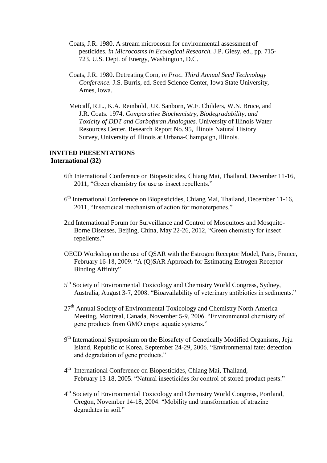- Coats, J.R. 1980. A stream microcosm for environmental assessment of pesticides. *in Microcosms in Ecological Research.* J.P. Giesy, ed., pp. 715- 723. U.S. Dept. of Energy, Washington, D.C.
- Coats, J.R. 1980. Detreating Corn, *in Proc. Third Annual Seed Technology Conference.* J.S. Burris, ed. Seed Science Center, Iowa State University, Ames, Iowa.
- Metcalf, R.L., K.A. Reinbold, J.R. Sanborn, W.F. Childers, W.N. Bruce, and J.R. Coats. 1974. *Comparative Biochemistry, Biodegradability, and Toxicity of DDT and Carbofuran Analogues.* University of Illinois Water Resources Center, Research Report No. 95, Illinois Natural History Survey, University of Illinois at Urbana-Champaign, Illinois.

#### **INVITED PRESENTATIONS International (32)**

- 6th International Conference on Biopesticides, Chiang Mai, Thailand, December 11-16, 2011, "Green chemistry for use as insect repellents."
- 6<sup>th</sup> International Conference on Biopesticides, Chiang Mai, Thailand, December 11-16, 2011, "Insecticidal mechanism of action for monoterpenes."
- 2nd International Forum for Surveillance and Control of Mosquitoes and Mosquito-Borne Diseases, Beijing, China, May 22-26, 2012, "Green chemistry for insect repellents."
- OECD Workshop on the use of QSAR with the Estrogen Receptor Model, Paris, France, February 16-18, 2009. "A (Q)SAR Approach for Estimating Estrogen Receptor Binding Affinity"
- 5<sup>th</sup> Society of Environmental Toxicology and Chemistry World Congress, Sydney, Australia, August 3-7, 2008. "Bioavailability of veterinary antibiotics in sediments."
- $27<sup>th</sup>$  Annual Society of Environmental Toxicology and Chemistry North America Meeting, Montreal, Canada, November 5-9, 2006. "Environmental chemistry of gene products from GMO crops: aquatic systems."
- 9<sup>th</sup> International Symposium on the Biosafety of Genetically Modified Organisms, Jeju Island, Republic of Korea, September 24-29, 2006. "Environmental fate: detection and degradation of gene products."
- 4<sup>th</sup> International Conference on Biopesticides, Chiang Mai, Thailand, February 13-18, 2005. "Natural insecticides for control of stored product pests."
- 4<sup>th</sup> Society of Environmental Toxicology and Chemistry World Congress, Portland, Oregon, November 14-18, 2004. "Mobility and transformation of atrazine degradates in soil."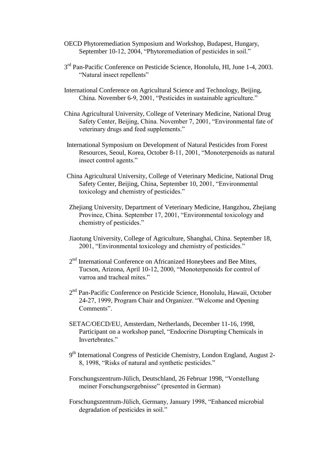- OECD Phytoremediation Symposium and Workshop, Budapest, Hungary, September 10-12, 2004, "Phytoremediation of pesticides in soil."
- 3<sup>rd</sup> Pan-Pacific Conference on Pesticide Science, Honolulu, HI, June 1-4, 2003. "Natural insect repellents"
- International Conference on Agricultural Science and Technology, Beijing, China. November 6-9, 2001, "Pesticides in sustainable agriculture."
- China Agricultural University, College of Veterinary Medicine, National Drug Safety Center, Beijing, China. November 7, 2001, "Environmental fate of veterinary drugs and feed supplements."
- International Symposium on Development of Natural Pesticides from Forest Resources, Seoul, Korea, October 8-11, 2001, "Monoterpenoids as natural insect control agents."
- China Agricultural University, College of Veterinary Medicine, National Drug Safety Center, Beijing, China, September 10, 2001, "Environmental toxicology and chemistry of pesticides."
- Zhejiang University, Department of Veterinary Medicine, Hangzhou, Zhejiang Province, China. September 17, 2001, "Environmental toxicology and chemistry of pesticides."
- Jiaotung University, College of Agriculture, Shanghai, China. September 18, 2001, "Environmental toxicology and chemistry of pesticides."
- 2<sup>nd</sup> International Conference on Africanized Honeybees and Bee Mites, Tucson, Arizona, April 10-12, 2000, "Monoterpenoids for control of varroa and tracheal mites."
- 2<sup>nd</sup> Pan-Pacific Conference on Pesticide Science, Honolulu, Hawaii, October 24-27, 1999, Program Chair and Organizer. "Welcome and Opening Comments".
- SETAC/OECD/EU, Amsterdam, Netherlands, December 11-16, 1998, Participant on a workshop panel, "Endocrine Disrupting Chemicals in Invertebrates."
- 9<sup>th</sup> International Congress of Pesticide Chemistry, London England, August 2-8, 1998, "Risks of natural and synthetic pesticides."
- Forschungszentrum-Jülich, Deutschland, 26 Februar 1998, "Vorstellung meiner Forschungsergebnisse" (presented in German)
- Forschungszentrum-Jülich, Germany, January 1998, "Enhanced microbial degradation of pesticides in soil."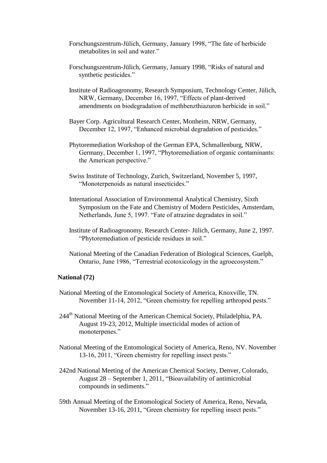- Forschungszentrum-Jülich, Germany, January 1998, "The fate of herbicide metabolites in soil and water."
- Forschungszentrum-Jülich, Germany, January 1998, "Risks of natural and synthetic pesticides."
- Institute of Radioagronomy, Research Symposium, Technology Center, Jülich, NRW, Germany, December 16, 1997, "Effects of plant-derived amendments on biodegradation of methbenzthiazuron herbicide in soil."
- Bayer Corp. Agricultural Research Center, Monheim, NRW, Germany, December 12, 1997, "Enhanced microbial degradation of pesticides."
- Phytoremediation Workshop of the German EPA, Schmallenburg, NRW, Germany, December 1, 1997, "Phytoremediation of organic contaminants: the American perspective."
- Swiss Institute of Technology, Zurich, Switzerland, November 5, 1997, "Monoterpenoids as natural insecticides."
- International Association of Environmental Analytical Chemistry, Sixth Symposium on the Fate and Chemistry of Modern Pesticides, Amsterdam, Netherlands, June 5, 1997. "Fate of atrazine degradates in soil."
- Institute of Radioagronomy, Research Center- Jülich, Germany, June 2, 1997. "Phytoremediation of pesticide residues in soil."
- National Meeting of the Canadian Federation of Biological Sciences, Guelph, Ontario, June 1986, "Terrestrial ecotoxicology in the agroecosystem."

### **National (72)**

- National Meeting of the Entomological Society of America, Knoxville, TN. November 11-14, 2012, "Green chemistry for repelling arthropod pests."
- 244th National Meeting of the American Chemical Society, Philadelphia, PA. August 19-23, 2012, Multiple insecticidal modes of action of monoterpenes."
- National Meeting of the Entomological Society of America, Reno, NV. November 13-16, 2011, "Green chemistry for repelling insect pests."
- 242nd National Meeting of the American Chemical Society, Denver, Colorado, August 28 – September 1, 2011, "Bioavailability of antimicrobial compounds in sediments."
- 59th Annual Meeting of the Entomological Society of America, Reno, Nevada, November 13-16, 2011, "Green chemistry for repelling insect pests."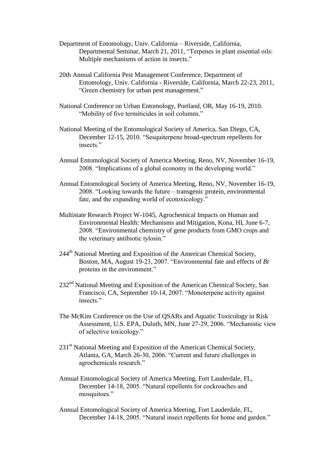- Department of Entomology, Univ. California Riverside, California, Departmental Seminar, March 21, 2011, "Terpenes in plant essential oils: Multiple mechanisms of action in insects."
- 20th Annual California Pest Management Conference, Department of Entomology, Univ. California - Riverside, California, March 22-23, 2011, "Green chemistry for urban pest management."
- National Conference on Urban Entomology, Portland, OR, May 16-19, 2010. "Mobility of five termiticides in soil columns."
- National Meeting of the Entomological Society of America, San Diego, CA, December 12-15, 2010. "Sesquiterpene broad-spectrum repellents for insects."
- Annual Entomological Society of America Meeting, Reno, NV, November 16-19, 2008. "Implications of a global economy in the developing world."
- Annual Entomological Society of America Meeting, Reno, NV, November 16-19, 2008. "Looking towards the future – transgenic protein, environmental fate, and the expanding world of ecotoxicology."
- Multistate Research Project W-1045, Agrochemical Impacts on Human and Environmental Health: Mechanisms and Mitigation, Kona, HI, June 6-7, 2008. "Environmental chemistry of gene products from GMO crops and the veterinary antibiotic tylosin."
- 244<sup>th</sup> National Meeting and Exposition of the American Chemical Society, Boston, MA, August 19-23, 2007. "Environmental fate and effects of *Bt* proteins in the environment."
- 232<sup>nd</sup> National Meeting and Exposition of the American Chemical Society, San Francisco, CA, September 10-14, 2007. "Monoterpene activity against insects<sup>"</sup>
- The McKim Conference on the Use of QSARs and Aquatic Toxicology in Risk Assessment, U.S. EPA, Duluth, MN, June 27-29, 2006. "Mechanistic view of selective toxicology."
- $231<sup>st</sup>$  National Meeting and Exposition of the American Chemical Society, Atlanta, GA, March 26-30, 2006. "Current and future challenges in agrochemicals research."
- Annual Entomological Society of America Meeting, Fort Lauderdale, FL, December 14-18, 2005. "Natural repellents for cockroaches and mosquitoes."
- Annual Entomological Society of America Meeting, Fort Lauderdale, FL, December 14-18, 2005. "Natural insect repellents for home and garden."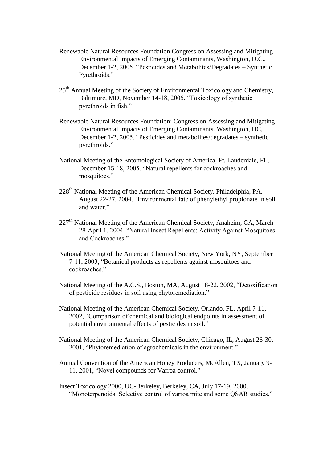- Renewable Natural Resources Foundation Congress on Assessing and Mitigating Environmental Impacts of Emerging Contaminants, Washington, D.C., December 1-2, 2005. "Pesticides and Metabolites/Degradates – Synthetic Pyrethroids."
- 25<sup>th</sup> Annual Meeting of the Society of Environmental Toxicology and Chemistry, Baltimore, MD, November 14-18, 2005. "Toxicology of synthetic pyrethroids in fish."
- Renewable Natural Resources Foundation: Congress on Assessing and Mitigating Environmental Impacts of Emerging Contaminants. Washington, DC, December 1-2, 2005. "Pesticides and metabolites/degradates – synthetic pyrethroids."
- National Meeting of the Entomological Society of America, Ft. Lauderdale, FL, December 15-18, 2005. "Natural repellents for cockroaches and mosquitoes."
- 228<sup>th</sup> National Meeting of the American Chemical Society, Philadelphia, PA, August 22-27, 2004. "Environmental fate of phenylethyl propionate in soil and water."
- $227<sup>th</sup>$  National Meeting of the American Chemical Society, Anaheim, CA, March 28-April 1, 2004. "Natural Insect Repellents: Activity Against Mosquitoes and Cockroaches."
- National Meeting of the American Chemical Society, New York, NY, September 7-11, 2003, "Botanical products as repellents against mosquitoes and cockroaches."
- National Meeting of the A.C.S., Boston, MA, August 18-22, 2002, "Detoxification of pesticide residues in soil using phytoremediation."
- National Meeting of the American Chemical Society, Orlando, FL, April 7-11, 2002, "Comparison of chemical and biological endpoints in assessment of potential environmental effects of pesticides in soil."
- National Meeting of the American Chemical Society, Chicago, IL, August 26-30, 2001, "Phytoremediation of agrochemicals in the environment."
- Annual Convention of the American Honey Producers, McAllen, TX, January 9- 11, 2001, "Novel compounds for Varroa control."
- Insect Toxicology 2000, UC-Berkeley, Berkeley, CA, July 17-19, 2000, "Monoterpenoids: Selective control of varroa mite and some QSAR studies."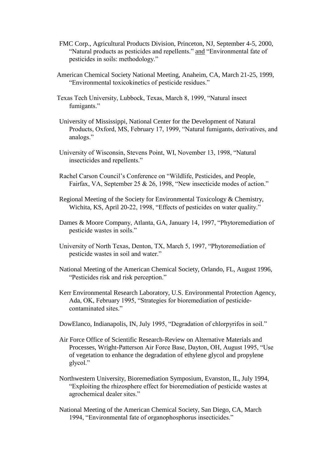- FMC Corp., Agricultural Products Division, Princeton, NJ, September 4-5, 2000, "Natural products as pesticides and repellents." and "Environmental fate of pesticides in soils: methodology."
- American Chemical Society National Meeting, Anaheim, CA, March 21-25, 1999, "Environmental toxicokinetics of pesticide residues."
- Texas Tech University, Lubbock, Texas, March 8, 1999, "Natural insect fumigants."
- University of Mississippi, National Center for the Development of Natural Products, Oxford, MS, February 17, 1999, "Natural fumigants, derivatives, and analogs."
- University of Wisconsin, Stevens Point, WI, November 13, 1998, "Natural insecticides and repellents."
- Rachel Carson Council's Conference on "Wildlife, Pesticides, and People, Fairfax, VA, September 25 & 26, 1998, "New insecticide modes of action."
- Regional Meeting of the Society for Environmental Toxicology & Chemistry, Wichita, KS, April 20-22, 1998, "Effects of pesticides on water quality."
- Dames & Moore Company, Atlanta, GA, January 14, 1997, "Phytoremediation of pesticide wastes in soils."
- University of North Texas, Denton, TX, March 5, 1997, "Phytoremediation of pesticide wastes in soil and water."
- National Meeting of the American Chemical Society, Orlando, FL, August 1996, "Pesticides risk and risk perception."
- Kerr Environmental Research Laboratory, U.S. Environmental Protection Agency, Ada, OK, February 1995, "Strategies for bioremediation of pesticidecontaminated sites."
- DowElanco, Indianapolis, IN, July 1995, "Degradation of chlorpyrifos in soil."
- Air Force Office of Scientific Research-Review on Alternative Materials and Processes, Wright-Patterson Air Force Base, Dayton, OH, August 1995, "Use of vegetation to enhance the degradation of ethylene glycol and propylene glycol."
- Northwestern University, Bioremediation Symposium, Evanston, IL, July 1994, "Exploiting the rhizosphere effect for bioremediation of pesticide wastes at agrochemical dealer sites."
- National Meeting of the American Chemical Society, San Diego, CA, March 1994, "Environmental fate of organophosphorus insecticides."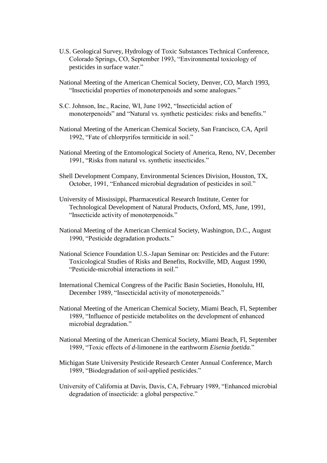- U.S. Geological Survey, Hydrology of Toxic Substances Technical Conference, Colorado Springs, CO, September 1993, "Environmental toxicology of pesticides in surface water."
- National Meeting of the American Chemical Society, Denver, CO, March 1993, "Insecticidal properties of monoterpenoids and some analogues."
- S.C. Johnson, Inc., Racine, WI, June 1992, "Insecticidal action of monoterpenoids" and "Natural vs. synthetic pesticides: risks and benefits."
- National Meeting of the American Chemical Society, San Francisco, CA, April 1992, "Fate of chlorpyrifos termiticide in soil."
- National Meeting of the Entomological Society of America, Reno, NV, December 1991, "Risks from natural vs. synthetic insecticides."
- Shell Development Company, Environmental Sciences Division, Houston, TX, October, 1991, "Enhanced microbial degradation of pesticides in soil."
- University of Mississippi, Pharmaceutical Research Institute, Center for Technological Development of Natural Products, Oxford, MS, June, 1991, "Insecticide activity of monoterpenoids."
- National Meeting of the American Chemical Society, Washington, D.C., August 1990, "Pesticide degradation products."
- National Science Foundation U.S.-Japan Seminar on: Pesticides and the Future: Toxicological Studies of Risks and Benefits, Rockville, MD, August 1990, "Pesticide-microbial interactions in soil."
- International Chemical Congress of the Pacific Basin Societies, Honolulu, HI, December 1989, "Insecticidal activity of monoterpenoids."
- National Meeting of the American Chemical Society, Miami Beach, Fl, September 1989, "Influence of pesticide metabolites on the development of enhanced microbial degradation."
- National Meeting of the American Chemical Society, Miami Beach, Fl, September 1989, "Toxic effects of *d*-limonene in the earthworm *Eisenia foetida*."
- Michigan State University Pesticide Research Center Annual Conference, March 1989, "Biodegradation of soil-applied pesticides."
- University of California at Davis, Davis, CA, February 1989, "Enhanced microbial degradation of insecticide: a global perspective."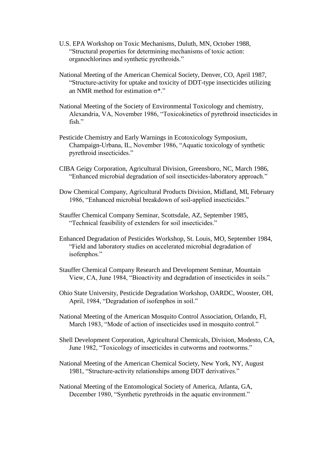- U.S. EPA Workshop on Toxic Mechanisms, Duluth, MN, October 1988, "Structural properties for determining mechanisms of toxic action: organochlorines and synthetic pyrethroids."
- National Meeting of the American Chemical Society, Denver, CO, April 1987, "Structure-activity for uptake and toxicity of DDT-type insecticides utilizing an NMR method for estimation  $\sigma^*$ ."
- National Meeting of the Society of Environmental Toxicology and chemistry, Alexandria, VA, November 1986, "Toxicokinetics of pyrethroid insecticides in fish."
- Pesticide Chemistry and Early Warnings in Ecotoxicology Symposium, Champaign-Urbana, IL, November 1986, "Aquatic toxicology of synthetic pyrethroid insecticides."
- CIBA Geigy Corporation, Agricultural Division, Greensboro, NC, March 1986, "Enhanced microbial degradation of soil insecticides-laboratory approach."
- Dow Chemical Company, Agricultural Products Division, Midland, MI, February 1986, "Enhanced microbial breakdown of soil-applied insecticides."
- Stauffer Chemical Company Seminar, Scottsdale, AZ, September 1985, "Technical feasibility of extenders for soil insecticides."
- Enhanced Degradation of Pesticides Workshop, St. Louis, MO, September 1984, "Field and laboratory studies on accelerated microbial degradation of isofenphos."
- Stauffer Chemical Company Research and Development Seminar, Mountain View, CA, June 1984, "Bioactivity and degradation of insecticides in soils."
- Ohio State University, Pesticide Degradation Workshop, OARDC, Wooster, OH, April, 1984, "Degradation of isofenphos in soil."
- National Meeting of the American Mosquito Control Association, Orlando, Fl, March 1983, "Mode of action of insecticides used in mosquito control."
- Shell Development Corporation, Agricultural Chemicals, Division, Modesto, CA, June 1982, "Toxicology of insecticides in cutworms and rootworms."
- National Meeting of the American Chemical Society, New York, NY, August 1981, "Structure-activity relationships among DDT derivatives."
- National Meeting of the Entomological Society of America, Atlanta, GA, December 1980, "Synthetic pyrethroids in the aquatic environment."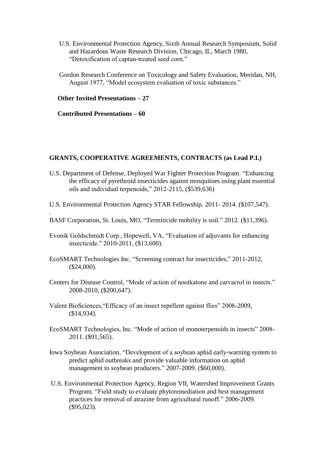- U.S. Environmental Protection Agency, Sixth Annual Research Symposium, Solid and Hazardous Waste Research Division, Chicago, IL, March 1980, "Detoxification of captan-treated seed corn."
- Gordon Research Conference on Toxicology and Safety Evaluation, Meridan, NH, August 1977, "Model ecosystem evaluation of toxic substances."

### **Other Invited Presentations – 27**

## **Contributed Presentations – 60**

.

#### **GRANTS, COOPERATIVE AGREEMENTS, CONTRACTS (as Lead P.I.)**

- U.S. Department of Defense, Deployed War Fighter Protection Program. "Enhancing the efficacy of pyrethroid insecticides against mosquitoes using plant essential oils and individual terpenoids," 2012-2115, (\$539,636)
- U.S. Environmental Protection Agency STAR Fellowship. 2011- 2014. (\$107,547).
- BASF Corporation, St. Louis, MO, "Termiticide mobility is soil." 2012. (\$11,396).
- Evonik Goldschmidt Corp., Hopewell, VA, "Evaluation of adjuvants for enhancing insecticide." 2010-2011, (\$13,600).
- EcoSMART Technologies Inc. "Screening contract for insecticides," 2011-2012, (\$24,000).
- Centers for Disease Control, "Mode of action of nootkatone and carvacrol in insects." 2008-2010, (\$200,647).
- Valent BioSciences,"Efficacy of an insect repellent against flies" 2008-2009, (\$14,934).
- EcoSMART Technologies, Inc. "Mode of action of monoterpenoids in insects" 2008- 2011. (\$91,565).
- Iowa Soybean Association, "Development of a soybean aphid early-warning system to predict aphid outbreaks and provide valuable information on aphid management to soybean producers." 2007-2009. (\$60,000).
- U.S. Environmental Protection Agency, Region VII, Watershed Improvement Grants Program. "Field study to evaluate phytoremediation and best management practices for removal of atrazine from agricultural runoff." 2006-2009. (\$95,023).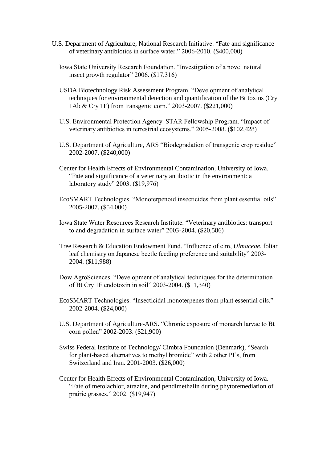- U.S. Department of Agriculture, National Research Initiative. "Fate and significance of veterinary antibiotics in surface water." 2006-2010. (\$400,000)
	- Iowa State University Research Foundation. "Investigation of a novel natural insect growth regulator" 2006. (\$17,316)
	- USDA Biotechnology Risk Assessment Program. "Development of analytical techniques for environmental detection and quantification of the Bt toxins (Cry 1Ab & Cry 1F) from transgenic corn." 2003-2007. (\$221,000)
	- U.S. Environmental Protection Agency. STAR Fellowship Program. "Impact of veterinary antibiotics in terrestrial ecosystems." 2005-2008. (\$102,428)
	- U.S. Department of Agriculture, ARS "Biodegradation of transgenic crop residue" 2002-2007. (\$240,000)
	- Center for Health Effects of Environmental Contamination, University of Iowa. "Fate and significance of a veterinary antibiotic in the environment: a laboratory study" 2003. (\$19,976)
	- EcoSMART Technologies. "Monoterpenoid insecticides from plant essential oils" 2005-2007. (\$54,000)
	- Iowa State Water Resources Research Institute. "Veterinary antibiotics: transport to and degradation in surface water" 2003-2004. (\$20,586)
	- Tree Research & Education Endowment Fund. "Influence of elm, *Ulmaceae*, foliar leaf chemistry on Japanese beetle feeding preference and suitability" 2003- 2004. (\$11,988)
	- Dow AgroSciences. "Development of analytical techniques for the determination of Bt Cry 1F endotoxin in soil" 2003-2004. (\$11,340)
	- EcoSMART Technologies. "Insecticidal monoterpenes from plant essential oils." 2002-2004. (\$24,000)
	- U.S. Department of Agriculture-ARS. "Chronic exposure of monarch larvae to Bt corn pollen" 2002-2003. (\$21,900)
	- Swiss Federal Institute of Technology/ Cimbra Foundation (Denmark), "Search for plant-based alternatives to methyl bromide" with 2 other PI's, from Switzerland and Iran. 2001-2003. (\$26,000)
	- Center for Health Effects of Environmental Contamination, University of Iowa. "Fate of metolachlor, atrazine, and pendimethalin during phytoremediation of prairie grasses." 2002. (\$19,947)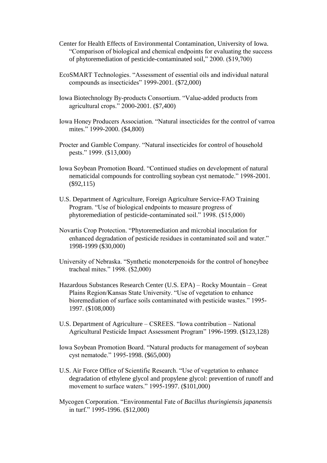- Center for Health Effects of Environmental Contamination, University of Iowa. "Comparison of biological and chemical endpoints for evaluating the success of phytoremediation of pesticide-contaminated soil," 2000. (\$19,700)
- EcoSMART Technologies. "Assessment of essential oils and individual natural compounds as insecticides" 1999-2001. (\$72,000)
- Iowa Biotechnology By-products Consortium. "Value-added products from agricultural crops." 2000-2001. (\$7,400)
- Iowa Honey Producers Association. "Natural insecticides for the control of varroa mites." 1999-2000. (\$4,800)
- Procter and Gamble Company. "Natural insecticides for control of household pests." 1999. (\$13,000)
- Iowa Soybean Promotion Board. "Continued studies on development of natural nematicidal compounds for controlling soybean cyst nematode." 1998-2001. (\$92,115)
- U.S. Department of Agriculture, Foreign Agriculture Service-FAO Training Program. "Use of biological endpoints to measure progress of phytoremediation of pesticide-contaminated soil." 1998. (\$15,000)
- Novartis Crop Protection. "Phytoremediation and microbial inoculation for enhanced degradation of pesticide residues in contaminated soil and water." 1998-1999 (\$30,000)
- University of Nebraska. "Synthetic monoterpenoids for the control of honeybee tracheal mites." 1998. (\$2,000)
- Hazardous Substances Research Center (U.S. EPA) Rocky Mountain Great Plains Region/Kansas State University. "Use of vegetation to enhance bioremediation of surface soils contaminated with pesticide wastes." 1995- 1997. (\$108,000)
- U.S. Department of Agriculture CSREES. "Iowa contribution National Agricultural Pesticide Impact Assessment Program" 1996-1999. (\$123,128)
- Iowa Soybean Promotion Board. "Natural products for management of soybean cyst nematode." 1995-1998. (\$65,000)
- U.S. Air Force Office of Scientific Research. "Use of vegetation to enhance degradation of ethylene glycol and propylene glycol: prevention of runoff and movement to surface waters." 1995-1997. (\$101,000)
- Mycogen Corporation. "Environmental Fate of *Bacillus thuringiensis japanensis* in turf." 1995-1996. (\$12,000)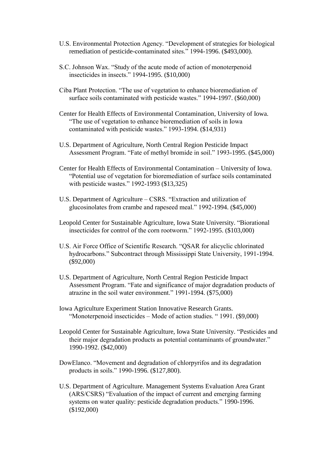- U.S. Environmental Protection Agency. "Development of strategies for biological remediation of pesticide-contaminated sites." 1994-1996. (\$493,000).
- S.C. Johnson Wax. "Study of the acute mode of action of monoterpenoid insecticides in insects." 1994-1995. (\$10,000)
- Ciba Plant Protection. "The use of vegetation to enhance bioremediation of surface soils contaminated with pesticide wastes." 1994-1997. (\$60,000)
- Center for Health Effects of Environmental Contamination, University of Iowa. "The use of vegetation to enhance bioremediation of soils in Iowa contaminated with pesticide wastes." 1993-1994. (\$14,931)
- U.S. Department of Agriculture, North Central Region Pesticide Impact Assessment Program. "Fate of methyl bromide in soil." 1993-1995. (\$45,000)
- Center for Health Effects of Environmental Contamination University of Iowa. "Potential use of vegetation for bioremediation of surface soils contaminated with pesticide wastes." 1992-1993 (\$13,325)
- U.S. Department of Agriculture CSRS. "Extraction and utilization of glucosinolates from crambe and rapeseed meal." 1992-1994. (\$45,000)
- Leopold Center for Sustainable Agriculture, Iowa State University. "Biorational insecticides for control of the corn rootworm." 1992-1995. (\$103,000)
- U.S. Air Force Office of Scientific Research. "QSAR for alicyclic chlorinated hydrocarbons." Subcontract through Mississippi State University, 1991-1994. (\$92,000)
- U.S. Department of Agriculture, North Central Region Pesticide Impact Assessment Program. "Fate and significance of major degradation products of atrazine in the soil water environment." 1991-1994. (\$75,000)
- Iowa Agriculture Experiment Station Innovative Research Grants. "Monoterpenoid insecticides – Mode of action studies. " 1991. (\$9,000)
- Leopold Center for Sustainable Agriculture, Iowa State University. "Pesticides and their major degradation products as potential contaminants of groundwater." 1990-1992. (\$42,000)
- DowElanco. "Movement and degradation of chlorpyrifos and its degradation products in soils." 1990-1996. (\$127,800).
- U.S. Department of Agriculture. Management Systems Evaluation Area Grant (ARS/CSRS) "Evaluation of the impact of current and emerging farming systems on water quality: pesticide degradation products." 1990-1996. (\$192,000)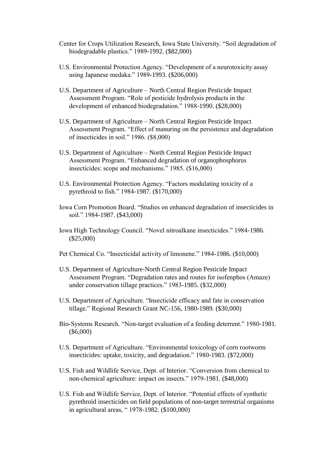- Center for Crops Utilization Research, Iowa State University. "Soil degradation of biodegradable plastics." 1989-1992. (\$82,000)
- U.S. Environmental Protection Agency. "Development of a neurotoxicity assay using Japanese medaka." 1989-1993. (\$206,000)
- U.S. Department of Agriculture North Central Region Pesticide Impact Assessment Program. "Role of pesticide hydrolysis products in the development of enhanced biodegradation." 1988-1990. (\$28,000)
- U.S. Department of Agriculture North Central Region Pesticide Impact Assessment Program. "Effect of manuring on the persistence and degradation of insecticides in soil." 1986. (\$8,000)
- U.S. Department of Agriculture North Central Region Pesticide Impact Assessment Program. "Enhanced degradation of organophosphorus insecticides: scope and mechanisms." 1985. (\$16,000)
- U.S. Environmental Protection Agency. "Factors modulating toxicity of a pyrethroid to fish." 1984-1987. (\$170,000)
- Iowa Corn Promotion Board. "Studies on enhanced degradation of insecticides in soil." 1984-1987. (\$43,000)
- Iowa High Technology Council. "Novel nitroalkane insecticides." 1984-1986. (\$25,000)
- Pet Chemical Co. "Insecticidal activity of limonene." 1984-1986. (\$10,000)
- U.S. Department of Agriculture-North Central Region Pesticide Impact Assessment Program. "Degradation rates and routes for isofenphos (Amaze) under conservation tillage practices." 1983-1985. (\$32,000)
- U.S. Department of Agriculture. "Insecticide efficacy and fate in conservation tillage." Regional Research Grant NC-156, 1980-1989. (\$30,000)
- Bio-Systems Research. "Non-target evaluation of a feeding deterrent." 1980-1981. (\$6,000)
- U.S. Department of Agriculture. "Environmental toxicology of corn rootworm insecticides: uptake, toxicity, and degradation." 1980-1983. (\$72,000)
- U.S. Fish and Wildlife Service, Dept. of Interior. "Conversion from chemical to non-chemical agriculture: impact on insects." 1979-1981. (\$48,000)
- U.S. Fish and Wildlife Service, Dept. of Interior. "Potential effects of synthetic pyrethroid insecticides on field populations of non-target terrestrial organisms in agricultural areas, " 1978-1982. (\$100,000)